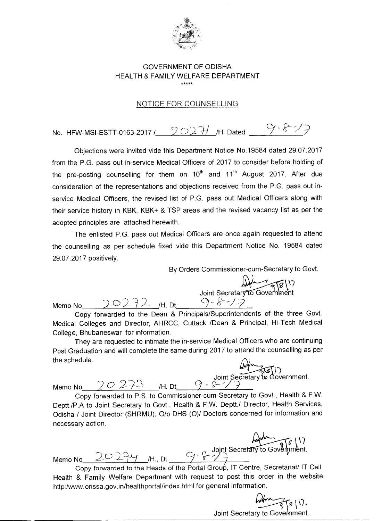

## GOVERNMENT OF ODISHA HEALTH & FAMILY WELFARE DEPARTMENT \*\*\*\*\*

## NOTICE FOR COUNSELLING

No. HFW-MSI-ESTT-0163-2017 /  $2027/$  /H. Dated  $9.87/7$ 

Objections were invited vide this Department Notice No.19584 dated 29.07.2017 from the P.G. pass out in-service Medical Officers of 2017 to consider before holding of the pre-posting counselling for them on  $10<sup>th</sup>$  and  $11<sup>th</sup>$  August 2017. After due consideration of the representations and objections received from the P.G. pass out inservice Medical Officers, the revised list of P.G. pass out Medical Officers along with their service history in KBK, KBK+ & TSP areas and the revised vacancy list as per the adopted principles are attached herewith.

The enlisted P.G. pass out Medical Officers are once again requested to attend the counselling as per schedule fixed vide this Department Notice No. 19584 dated 29.07.2017 positively.

By Orders Commissioner-cum-Secretary to Govt.

 $\widetilde{\mathcal{B}}(\mathcal{C})$ Joint Secretar<del>y to G</del>overnment Memo No 20272 /H. Dt 9-8-17

Copy forwarded to the Dean & Principals/Superintendents of the three Govt. Medical Colleges and Director, AHRCC, Cuttack /Dean & Principal, Hi-Tech Medical College, Bhubaneswar for information.

They are requested to intimate the in-service Medical Officers who are continuing Post Graduation and will complete the same during 2017 to attend the counselling as per the schedule.

Memo No  $\angle$  O 2 + S  $\angle$  /H. Dt  $\frac{1}{\sqrt{1-x^2}}$ Joint Secretary tbGovernment.

Copy forwarded to P.S. to Commissioner-cum-Secretary to Govt., Health & F.W. Deptt./P.A to Joint Secretary to Govt., Health & F.W. Deptt./ Director, Health Services, Odisha / Joint Director (SHRMU), 0/0 DHS (0)/ Doctors concerned for information and necessary action.

Memo No  $20274$  /H., Dt.  $9 - 8$ 

Copy forwarded to the Heads of the Portal Group, IT Centre, Secretariat/ IT Cell, Health & Family Welfare Department with request to post this order in the website http:/www.orissa.gov.in/healthportal/index.html for general information.

Joint Secretary to Government.

 $\sqrt{95}$ 

 $\alpha$  Joint Secretary to Government.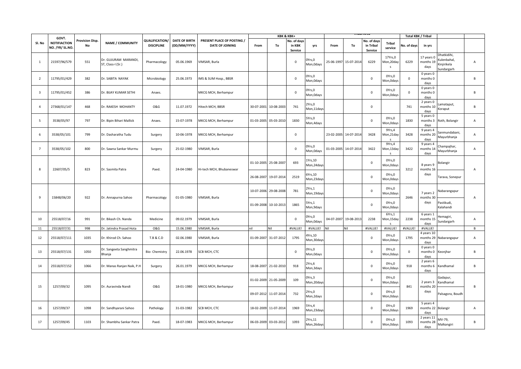|                         | GOVT.                                  |                              |                                           |                                     |                                      |                                                      |                       | <b>KBK &amp; KBK+</b> |                                  |                              |            |            |                                     |                                       | <b>Total KBK / Tribal</b> |                                         |                                                        |                |
|-------------------------|----------------------------------------|------------------------------|-------------------------------------------|-------------------------------------|--------------------------------------|------------------------------------------------------|-----------------------|-----------------------|----------------------------------|------------------------------|------------|------------|-------------------------------------|---------------------------------------|---------------------------|-----------------------------------------|--------------------------------------------------------|----------------|
| Sl. No                  | <b>NOTIFIACTION</b><br>NO. /YR/ SL.NO. | <b>Provision Disp.</b><br>No | <b>NAME / COMMUNITY</b>                   | QUALIFICATION/<br><b>DISCIPLINE</b> | <b>DATE OF BIRTH</b><br>(DD/MM/YYYY) | PRESENT PLACE OF POSTING /<br><b>DATE OF JOINING</b> | From                  | To                    | No. of days<br>in KBK<br>Service | yrs                          | From       | To         | No. of days<br>in Tribal<br>Service | <b>Tribal</b><br>service              | No. of days               | in yrs                                  |                                                        |                |
| $\mathbf{1}$            | 21597/96/579                           | 551                          | Dr. GUJURAM MARANDI,<br>ST, Class-I (Sr.) | Pharmacology                        | 05.06.1969                           | VIMSAR, Burla                                        |                       |                       | $\mathbf 0$                      | )Yrs,0<br>Mon, Odays         | 25-06-1997 | 15-07-2014 | 6229                                | 17Yrs,0<br>Mon, 20day<br>$\mathsf{s}$ | 6229                      | 17 years 0<br>months 19<br>days         | Dhatkidihi,<br>ulenbahal,<br>(injirikela<br>Sundargarh | $\overline{A}$ |
| $\overline{2}$          | 11795/01/429                           | 382                          | Dr. SABITA NAYAK                          | Microbiology                        | 25.06.1973                           | IMS & SUM Hosp., BBSR                                |                       |                       | $\mathbf{0}$                     | )Yrs,0<br>Mon, Odays         |            |            | $\mathsf 0$                         | OYrs, 0<br>Mon, Odays                 | $\mathbf 0$               | 0 years 0<br>months 0<br>days           |                                                        | B              |
| $\overline{\mathbf{3}}$ | 11795/01/452                           | 386                          | Dr. BIJAY KUMAR SETHI                     | Anaes.                              |                                      | MKCG MCH, Berhampur                                  |                       |                       | $\mathbf 0$                      | )Yrs,0<br>Mon, Odays         |            |            | $\mathsf{O}\xspace$                 | OYrs, 0<br>Mon, Odays                 | $\mathbf 0$               | 0 years 0<br>months 0<br>days           |                                                        | B              |
| $\overline{4}$          | 27368/01/147                           | 468                          | Dr. RAKESH MOHANTY                        | <b>O&amp;G</b>                      | 11.07.1972                           | Hitech MCH, BBSR                                     | 30-07-2001            | 10-08-2003            | 741                              | 2Yrs,0<br>Mon, 11days        |            |            | $\mathbf 0$                         |                                       | 741                       | 2 years 0<br>months 10<br>days          | amataput,<br>Koraput                                   | B              |
| 5                       | 3538/05/97                             | 797                          | Dr. Bipin Bihari Mallick                  | Anaes.                              | 15-07-1978                           | MKCG MCH, Berhampur                                  | 01-03-2005 05-03-2010 |                       | 1830                             | 5Yrs,0<br>Mon, 4 days        |            |            | $\mathbf 0$                         | OYrs,0<br>Mon, Odays                  | 1830                      | 5 years 0<br>months 3<br>days           | Roth, Bolangir                                         | А              |
| 6                       | 3538/05/101                            | 799                          | Dr. Dasharatha Tudu                       | Surgery                             | 10-06-1978                           | MKCG MCH, Berhampur                                  |                       |                       | $\Omega$                         |                              | 23-02-2005 | 14-07-2014 | 3428                                | 9Yrs,4<br>Mon,21day                   | 3428                      | 9 years 4<br>months 20<br>days          | anmundabani,<br>Mayurbhanja                            | А              |
| $\overline{7}$          | 3538/05/102                            | 800                          | Dr. Sawna Sankar Murmu                    | Surgery                             | 25-02-1980                           | VIMSAR, Burla                                        |                       |                       | $\overline{0}$                   | OYrs,O<br>Mon, Odays         | 01-03-2005 | 14-07-2014 | 3422                                | 9Yrs,4<br>Mon,13day<br>$\sim$         | 3422                      | 9 years 4<br>months 14<br>days          | hampajhar,<br>Mayurbhanja                              | A              |
| 8                       | 22607/05/5                             | 823                          | Dr. Sasmita Patra                         | Paed.                               | 24-04-1980                           | Hi-tech MCH, Bhubaneswar                             |                       | 01-10-2005 25-08-2007 | 693                              | LYrs, 10<br>Mon,24day:       |            |            | $\mathbf 0$                         | OYrs, 0<br>Mon, Odays                 | 3212                      | 8 years 9<br>months 16                  | Bolangir                                               | A              |
|                         |                                        |                              |                                           |                                     |                                      |                                                      | 26-08-2007 19-07-2014 |                       | 2519                             | SYrs, 10<br>Mon,23day        |            |            | $\mathbf 0$                         | OYrs,0<br>Mon, Odays                  |                           | days                                    | Tarava, Sonepur                                        |                |
| 9                       | 15848/06/20                            | 922                          | Dr. Annapurna Sahoo                       | Pharmacology                        | 01-05-1980                           | VIMSAR, Burla                                        |                       | 10-07-2006 29-08-2008 | 781                              | 2Yrs, 1<br>Mon, 19day:       |            |            | 0                                   | OYrs, 0<br>Mon, Odays                 | 2646                      | 7 years 2<br>months 30                  | labarangapur                                           | $\overline{A}$ |
|                         |                                        |                              |                                           |                                     |                                      |                                                      | 01-09-2008            | 10-10-2013            | 1865                             | SYrs, 1<br>Mon, 9days        |            |            | $\mathbf 0$                         | OYrs, 0<br>Mon, Odays                 |                           | days                                    | Pastikudi,<br>Kalahandi                                |                |
| 10                      | 25518/07/16                            | 991                          | Dr. Bikash Ch. Nanda                      | Medicine                            | 09.02.1979                           | VIMSAR, Burla                                        |                       |                       | $\overline{0}$                   | )Yrs,0<br>Mon, Odays         | 04-07-2007 | 19-08-2013 | 2238                                | 6Yrs,1<br>Mon, 15day                  | 2238                      | 6 years 1<br>months 15<br>days          | emagiri,<br>Sundargarh                                 | A              |
| 11                      | 25518/07/31                            | 998                          | Dr. Jatindra Prasad Hota                  | <b>O&amp;G</b>                      | 15.06.1980                           | VIMSAR, Burla                                        | nil                   | Nil                   | #VALUE!                          | #VALUE!                      | Nil        | Nil        | #VALUE!                             | #VALUE!                               | #VALUE!                   | #VALUE                                  |                                                        | B              |
| 12                      | 25518/07/111                           | 1035                         | Dr. Khirod Ch. Sahoo                      | T.B & C.D                           | 02.06.1980                           | VIMSAR, Burla                                        |                       | 01-09-2007 31-07-2012 | 1795                             | <b>IYrs, 10</b><br>Mon,30day |            |            | $\mathbf 0$                         | OYrs,0<br>Mon, Odays                  | 1795                      | 4 years 10<br>days                      | months 29 Nabarangapur                                 | A              |
| 13                      | 25518/07/131                           | 1050                         | Dr. Sangeeta Sanghmitra<br>Bhanja         | Bio- Chemistry                      | 22.06.1978                           | SCB MCH, CTC                                         |                       |                       | $\overline{0}$                   | Yrs,0<br>Mon, Odays          |            |            | $\mathbf 0$                         | OYrs, 0<br>Mon, Odays                 | $\mathbf 0$               | 0 years 0<br>months 0<br>days           | Keonjhar                                               | В              |
| 14                      | 25518/07/152                           | 1066                         | Dr. Manas Ranjan Naik, P.H                | Surgery                             | 26.01.1979                           | MKCG MCH, Berhampur                                  |                       | 18-08-2007 21-02-2010 | 918                              | 2Yrs,6<br>Mon, 3 days        |            |            | $\mathbf 0$                         | OYrs, 0<br>Mon, Odays                 | 918                       | 2 years 6<br>months 6<br>days           | Kandhamal                                              | B              |
| 15                      | 1257/09/32                             | 1095                         | Dr. Auravinda Nandi                       | <b>O&amp;G</b>                      | 18-01-1980                           | MKCG MCH, Berhampur                                  | 01-02-2009 21-05-2009 |                       | 109                              | OYrs,3<br>Mon, 20day:        |            |            | 0                                   | OYrs,0<br>Mon, Odays                  | 841                       | 2 years 3<br>months 20                  | Gadapur,<br><b>Candhamal</b>                           | B              |
|                         |                                        |                              |                                           |                                     |                                      |                                                      | 09-07-2012 11-07-2014 |                       | 732                              | 2Yrs,0<br>Mon, 2days         |            |            | $\mathbf 0$                         | OYrs, 0<br>Mon, Odays                 |                           | days                                    | Palsagora, Boudh                                       |                |
| 16                      | 1257/09/37                             | 1098                         | Dr. Sandhyarani Sahoo                     | Pathology                           | 31-03-1982                           | SCB MCH, CTC                                         | 18-02-2009            | 11-07-2014            | 1969                             | 5Yrs,4<br>Mon, 23day:        |            |            | $\mathsf 0$                         | OYrs,0<br>Mon, Odays                  | 1969                      | 5 years 4<br>months 22 Bolangir<br>days |                                                        | A              |
| 17                      | 1257/09/45                             | 1103                         | Dr. Shambhu Sankar Patra                  | Paed.                               | 18-07-1983                           | MKCG MCH, Berhampur                                  |                       | 06-03-2009 03-03-2012 | 1093                             | Yrs, 11<br>Mon, 26days       |            |            | $\mathbf 0$                         | OYrs, 0<br>Mon, Odays                 | 1093                      | 2 years 11<br>months 28<br>days         | MV-79,<br>Malkangiri                                   | В              |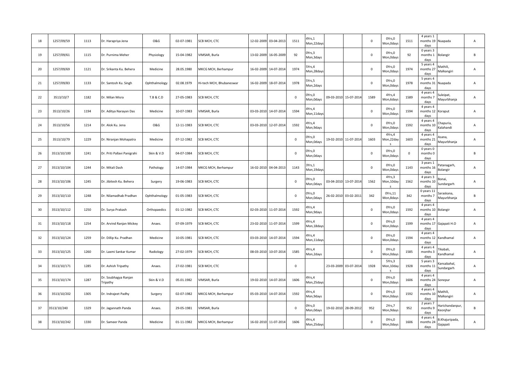| 18 | 1257/09/59  | 1113 | Dr. Harapriya Jena               | <b>O&amp;G</b> | 02-07-1981 | SCB MCH, CTC             | 12-02-2009 | 03-04-2013            | 1511        | 4Yrs, 1<br>Mon, 22day |            |            | $\mathbf 0$ | OYrs,0<br>Mon, Odays   | 1511        | 4 years 1<br>months 19 Nuapada<br>days                            | A              |
|----|-------------|------|----------------------------------|----------------|------------|--------------------------|------------|-----------------------|-------------|-----------------------|------------|------------|-------------|------------------------|-------------|-------------------------------------------------------------------|----------------|
| 19 | 1257/09/61  | 1115 | Dr. Purnima Meher                | Physiology     | 15-04-1982 | VIMSAR, Burla            | 13-02-2009 | 16-05-2009            | 92          | Yrs,3<br>Mon,3days    |            |            | $\mathsf 0$ | OYrs, 0<br>Mon,0days   | 92          | 0 years 3<br>months 1<br>Bolangir<br>days                         | B              |
| 20 | 1257/09/69  | 1121 | Dr. Srikanta Ku. Behera          | Medicine       | 28.05.1980 | MKCG MCH, Berhampur      | 16-02-2009 | 14-07-2014            | 1974        | Yrs,4<br>Mon, 28day   |            |            | $\mathbf 0$ | OYrs,0<br>Mon, Odays   | 1974        | 5 years 4<br>Mathili,<br>months 27<br>Malkangiri<br>days          | A              |
| 21 | 1257/09/83  | 1133 | Dr. Santosh Ku. Singh            | Ophthalmology  | 02.08.1979 | Hi-tech MCH, Bhubaneswar | 16-02-2009 | 18-07-2014            | 1978        | Yrs,5<br>Mon, 2 days  |            |            | $\mathsf 0$ | OYrs,0<br>Mon,0days    | 1978        | 5 years 4<br>months 31<br>Nuapada<br>days                         | А              |
| 22 | 3513/10/7   | 1182 | Dr. Milan Misra                  | T.B & C.D      | 27-05-1983 | SCB MCH, CTC             |            |                       | $\mathbf 0$ | Yrs,0<br>Aon, Odays   | 09-03-2010 | 15-07-2014 | 1589        | 4Yrs,4<br>Mon,6days    | 1589        | 4 years 4<br>uleipat,<br>months 7<br>Mayurbhanja<br>days          | A              |
| 23 | 3513/10/26  | 1194 | Dr. Aditya Narayan Das           | Medicine       | 10-07-1983 | VIMSAR, Burla            |            | 03-03-2010 14-07-2014 | 1594        | Yrs,4<br>Mon,11day    |            |            | $\mathsf 0$ | OYrs, 0<br>Mon, Odays  | 1594        | 4 years 4<br>months 12<br>Koraput<br>days                         | A              |
| 24 | 3513/10/56  | 1214 | Dr. Alok Ku. Jena                | <b>O&amp;G</b> | 12-11-1983 | SCB MCH, CTC             |            | 03-03-2010 12-07-2014 | 1592        | IYrs,4<br>Mon, 9 days |            |            | $\pmb{0}$   | OYrs,0<br>Mon,0days    | 1592        | 4 years 4<br>Chapuria,<br>months 10<br>alahandi<br>days           | А              |
| 25 | 3513/10/79  | 1229 | Dr. Niranjan Mohapatra           | Medicine       | 07-12-1982 | SCB MCH, CTC             |            |                       | $\mathbf 0$ | Yrs,0<br>Mon, Odays   | 19-02-2010 | 11-07-2014 | 1603        | 4Yrs,4<br>Mon,22day    | 1603        | 4 years 4<br>sana,<br>months 21<br>Mayurbhanja<br>days            | A              |
| 26 | 3513/10/100 | 1241 | Dr. Priti Pallavi Panigrahi      | Skin & V.D     | 04-07-1984 | SCB MCH, CTC             |            |                       | $\mathbf 0$ | )Yrs,0<br>Mon, Odays  |            |            | $\mathsf 0$ | OYrs,0<br>Mon,0days    | $\mathbf 0$ | 0 years 0<br>months 0<br>days                                     | B              |
| 27 | 3513/10/104 | 1244 | Dr. Mitali Dash                  | Pathology      | 14-07-1984 | MKCG MCH, Berhampur      |            | 16-02-2010 04-04-2013 | 1143        | Yrs,1<br>Mon, 19days  |            |            | 0           | OYrs,0<br>Mon, Odays   | 1143        | 3 years 1<br>atanagarh,<br>months 16<br>Bolangir<br>days          | A              |
| 28 | 3513/10/106 | 1245 | Dr. Jibitesh Ku. Behera          | Surgery        | 19-06-1983 | SCB MCH, CTC             |            |                       | $\mathbf 0$ | Yrs,0<br>Mon, Odays   | 03-04-2010 | 13-07-2014 | 1562        | 4Yrs,3<br>Mon,10day    | 1562        | 4 years 3<br>3onai,<br>months 10<br>Sundargarh<br>days            | A              |
| 29 | 3513/10/110 | 1248 | Dr. Nilamadhab Pradhan           | Ophthalmology  | 01-05-1983 | SCB MCH, CTC             |            |                       | $\mathbf 0$ | Yrs,0<br>Mon, Odays   | 26-02-2010 | 03-02-2011 | 342         | 0Yrs,11<br>Mon, 8 days | 342         | 0 years 11<br>Saraskana,<br>months 7<br>Mayurbhanja<br>days       | R.             |
| 30 | 3513/10/112 | 1250 | Dr. Surya Prakash                | Orthopaedics   | 01-12-1982 | SCB MCH, CTC             |            | 02-03-2010 11-07-2014 | 1592        | Yrs,4<br>Mon,9days    |            |            | $\mathsf 0$ | OYrs,0<br>Mon,0days    | 1592        | 4 years 4<br>months 10<br>Bolangir<br>days                        | A              |
| 31 | 3513/10/118 | 1254 | Dr. Arvind Ranjan Mickey         | Anaes.         | 07-09-1979 | SCB MCH, CTC             |            | 23-02-2010 11-07-2014 | 1599        | Yrs,4<br>Mon, 18days  |            |            | 0           | OYrs,0<br>Mon, Odays   | 1599        | 4 years 4<br>months 17<br>Gajapati H.O<br>days                    | Α              |
| 32 | 3513/10/124 | 1259 | Dr. Dillip Ku. Pradhan           | Medicine       | 10-05-1981 | SCB MCH, CTC             |            | 03-03-2010 14-07-2014 | 1594        | Yrs,4<br>Mon,11day    |            |            | $\mathbf 0$ | OYrs,0<br>Mon, Odays   | 1594        | 4 years 4<br>months 12<br>Kandhamal<br>days                       | $\mathsf{A}$   |
| 33 | 3513/10/125 | 1260 | Dr. Laxmi Sankar Kumar           | Radiology      | 27-02-1979 | SCB MCH, CTC             |            | 08-03-2010 10-07-2014 | 1585        | Yrs,4<br>Mon, 2 days  |            |            | $\mathsf 0$ | OYrs,0<br>Mon,0days    | 1585        | 4 years 4<br>rikabali.<br>months 3<br>andhamal<br>days            | A              |
| 34 | 3513/10/171 | 1285 | Dr. Ashish Tripathy              | Anaes.         | 27-02-1981 | SCB MCH, CTC             |            |                       | $\mathbf 0$ |                       | 23-03-2009 | 03-07-2014 | 1928        | 5Yrs,3<br>Aon,10day    | 1928        | 5 years 3<br>ansabahal,<br>months 11<br>Sundargarh<br>days        | А              |
| 35 | 3513/10/174 | 1287 | Dr. Soubhagya Ranjan<br>Tripathy | Skin & V.D     | 05.01.1982 | /IMSAR, Burla            |            | 19-02-2010 14-07-2014 | 1606        | 4Yrs,4<br>Mon, 25day  |            |            | 0           | OYrs, 0<br>Mon, Odays  | 1606        | 4 years 4<br>months 24<br>Sonepur<br>days                         | Α              |
| 36 | 3513/10/202 | 1305 | Dr. Indrajeet Padhy              | Surgery        | 02-07-1982 | MKCG MCH, Berhampur      |            | 05-03-2010 14-07-2014 | 1592        | Yrs,4<br>Mon, 9 days  |            |            | 0           | OYrs,0<br>Mon, Odays   | 1592        | 4 years 4<br>Mathili,<br>months 10<br>Malkangiri<br>days          | $\overline{A}$ |
| 37 | 3513/10/240 | 1329 | Dr. Jagannath Panda              | Anaes.         | 29-05-1981 | VIMSAR, Burla            |            |                       | $\mathbf 0$ | )Yrs,0<br>Mon, Odays  | 19-02-2010 | 28-09-2012 | 952         | 2Yrs,7<br>Mon,9days    | 952         | 2 years<br>larichandanpur,<br>months 9<br><b>Keonjhar</b><br>days | B.             |
| 38 | 3513/10/242 | 1330 | Dr. Sameer Panda                 | Medicine       | 01-11-1982 | MKCG MCH, Berhampur      |            | 16-02-2010 11-07-2014 | 1606        | Yrs,4<br>Mon,25days   |            |            | $\mathbf 0$ | OYrs, 0<br>Mon, Odays  | 1606        | 4 years 4<br>.Khajuripada,<br>months 24<br>Gajapati<br>days       | $\mathsf{A}$   |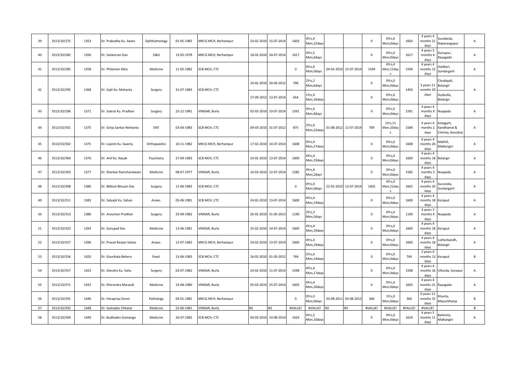| 39 | 3513/10/275 | 1353 | Dr. Prabodha Ku. Swain    | Ophthalmology  | 01-05-1982 | MKCG MCH, Berhampur         | 23-02-2010 | 15-07-2014            | 1603        | 4Yrs,4<br>Mon,22day:  |            |            | 0           | OYrs, 0<br>Mon, Odays         | 1603    | 4 years 4<br>months 2:<br>days          | Sunabeda,<br>Nabarangapur                     | Α              |
|----|-------------|------|---------------------------|----------------|------------|-----------------------------|------------|-----------------------|-------------|-----------------------|------------|------------|-------------|-------------------------------|---------|-----------------------------------------|-----------------------------------------------|----------------|
| 40 | 3513/10/282 | 1356 | Dr. Sankarsan Gan         | <b>O&amp;G</b> | 13-05-1978 | MKCG MCH, Berhampur         | 18-02-2010 | 24-07-2014            | 1617        | IYrs,5<br>Mon, 6days  |            |            | $\mathsf 0$ | OYrs,0<br>Mon, Odays          | 1617    | 4 years 5<br>months 4<br>days           | Gunupur,<br>Rayagada                          | А              |
| 41 | 3513/10/285 | 1358 | Dr. Philemon Ekka         | Medicine       | 11-05-1982 | SCB MCH, CTC                |            |                       | $\mathbf 0$ | Yrs,0<br>Mon, Odays   | 04-03-2010 | 15-07-2014 | 1594        | 4Yrs,4<br>Mon,11day<br>$\sim$ | 1594    | 4 years 4<br>months 12<br>days          | latibari,<br>undargarh                        | $\mathsf{A}$   |
| 42 | 3513/10/295 | 1368 |                           |                | 31-07-1983 | SCB MCH, CTC                | 24-02-2010 | 30-04-2012            | 796         | 2Yrs,2<br>Mon, 6days  |            |            | 0           | OYrs,0<br>Mon, Odays          | 1450    | 3 years 11<br>months 20                 | Chudapali,<br>Bolangir                        | Α              |
|    |             |      | Dr. Sujit Ku. Mohanty     | Surgery        |            |                             | 27-09-2012 | 13-07-2014            | 654         | LYrs,9<br>Mon,16day:  |            |            | $\mathsf 0$ | OYrs,0<br>Mon, Odays          |         | days                                    | Gudvella,<br>Bolangir                         |                |
| 43 | 3513/10/296 | 1371 | Dr. Subrat Ku. Pradhan    | Surgery        | 25-12-1981 | VIMSAR, Burla               | 02-03-2010 | 10-07-2014            | 1591        | 1Yrs,4<br>Mon, 8 days |            |            | $\mathsf 0$ | OYrs, 0<br>Mon, Odays         | 1591    | 4 years 4<br>months 9<br>days           | Nuapada                                       | Α              |
| 44 | 3513/10/301 | 1375 | Dr. Girija Sankar Mohanta | ENT            | 03-04-1983 | SCB MCH, CTC                |            | 09-03-2010 31-07-2012 | 875         | 2Yrs,4<br>Mon, 22day  | 01-08-2012 | 11-07-2014 | 709         | 1Yrs, 11<br>Mon, 10day<br>s   | 1584    | 4 years 4<br>months 2<br>days           | Kotagarh,<br>Kandhamal &<br>Chimila, Keonjhar | $\overline{A}$ |
| 45 | 3513/10/302 | 1375 | Dr. Lopinti Ku. Swamy     | Orthopaedics   | 10-11-1982 | MKCG MCH, Berhampur         | 17-02-2010 | 14-07-2014            | 1608        | 1Yrs,4<br>Mon,27day:  |            |            | $\mathsf 0$ | OYrs,0<br>Mon, Odays          | 1608    | 4 years 4<br>months 26<br>days          | Mathili,<br>Malkangiri                        | А              |
| 46 | 3513/10/304 | 1376 | Dr. Anil Ku. Nayak        | Psychiatry     | 27-09-1983 | SCB MCH, CTC                | 24-02-2010 | 13-07-2014            | 1600        | 1Yrs,4<br>Mon, 19day: |            |            | 0           | OYrs, 0<br>Mon, Odays         | 1600    | 4 years 4<br>months 18 Bolangir<br>days |                                               | Α              |
| 47 | 3513/10/303 | 1377 | Dr. Shankar Ramchandwani  | Medicine       | 08-07-1977 | VIMSAR, Burla               | 10-03-2010 | 12-07-2014            | 1585        | IYrs,4<br>Mon, 2 days |            |            | $\mathbf 0$ | OYrs,0<br>Mon,0days           | 1585    | 4 years 4<br>months 3<br>days           | Nuapada                                       | $\mathsf{A}$   |
| 48 | 3513/10/308 | 1380 | Dr. Bibhuti Bhusan Das    | Surgery        | 11-06-1983 | SCB MCH, CTC                |            |                       | $\mathbf 0$ | Yrs,0<br>Mon, Odays   | 22-02-2010 | 13-07-2014 | 1602        | 4Yrs,4<br>Mon,21day<br>$\sim$ | 1602    | 4 years 4<br>months 20<br>days          | Gurundia,<br>undargarh                        | $\mathsf{A}$   |
| 49 | 3513/10/311 | 1383 | Dr. Satyajit Ku. Sahoo    | Anaes.         | 05-06-1981 | SCB MCH, CTC                | 24-02-2010 | 13-07-2014            | 1600        | IYrs,4<br>Mon, 19day: |            |            | 0           | OYrs,0<br>Mon, Odays          | 1600    | 4 years 4<br>months 18<br>days          | Koraput                                       | А              |
| 50 | 3513/10/313 | 1386 | Dr. Ansuman Pradhan       | Surgery        | 25-09-1982 | /IMSAR, Burla               | 26-02-2010 | 31-05-2013            | 1190        | Yrs,3<br>Mon,5days    |            |            | $\mathbf 0$ | OYrs,0<br>Mon,0days           | 1190    | 3 years 3<br>months 4<br>days           | Nuapada                                       | A              |
| 51 | 3513/10/323 | 1393 | Dr. Gurupad Das           | Medicine       | 13-06-1981 | /IMSAR, Burla               | 25-02-2010 | 14-07-2014            | 1600        | 1Yrs,4<br>Mon, 19day: |            |            | $\mathbf 0$ | OYrs,0<br>Mon, Odays          | 1600    | 4 years 4<br>months 18 Koraput<br>days  |                                               | $\overline{A}$ |
| 52 | 3513/10/327 | 1396 | Dr. Pravat Ranjan Sahoo   | Anaes.         | 12-07-1982 | MKCG MCH, Berhampur         | 24-02-2010 | 13-07-2014            | 1600        | IYrs,4<br>Mon, 19day: |            |            | $\mathsf 0$ | OYrs,0<br>Mon, Odays          | 1600    | 4 years 4<br>months 18<br>days          | utherbandh,<br>Bolangir                       | A              |
| 53 | 3513/10/356 | 1420 | Dr. Gouribala Behera      | Paed.          | 13-06-1983 | SCB MCH, CTC                | 16-02-2010 | 01-03-2012            | 744         | 2Yrs,0<br>Mon, 14day: |            |            | $\mathsf 0$ | OYrs, 0<br>Mon, Odays         | 744     | 2 years 0<br>months 13<br>days          | Koraput                                       | B              |
| 54 | 3513/10/357 | 1423 | Dr. Jitendra Ku. Sahu     | Surgery        | 02-07-1982 | VIMSAR, Burla               | 24-02-2010 | 11-07-2014            | 1598        | IYrs,4<br>Mon, 17day: |            |            | $\mathsf 0$ | OYrs,0<br>Mon, Odays          | 1598    | 4 years 4<br>days                       | months 16 Ullunda, Sonepur                    | Α              |
| 55 | 3513/10/371 | 1432 | Dr. Dhirendra Marandi     | Medicine       | 23-08-1980 | VIMSAR, Burla               | 05-03-2010 | 25-07-2014            | 1603        | 1Yrs,4<br>Mon, 20day: |            |            | $\mathbf 0$ | OYrs,0<br>Mon, Odays          | 1603    | 4 years 4<br>months 21<br>days          | Rayagada                                      | А              |
| 56 | 3513/10/391 | 1446 | Dr. Harapriya Soren       | Pathology      | 04-01-1981 | <b>VIKCG MCH, Berhampur</b> |            |                       | $\mathbf 0$ | Yrs,0<br>Mon, Odays   | 03-08-2011 | 03-08-2012 | 366         | 1Yrs,0<br>Mon, Odays          | 366     | 0 years 11<br>months 31<br>days         | Khunta,<br>Mayurbhanja                        | B              |
| 57 | 3513/10/392 | 1448 | Dr. Seshadev Chhatar      | Medicine       | 22-06-1981 | /IMSAR, Burla               | Nil        | Nil                   | #VALUE!     | #VALUE!               |            | Nil        | #VALUE!     | #VALUE!                       | #VALUE! | #VALUE!                                 |                                               | В              |
| 58 | 3513/10/394 | 1449 | Dr. Budhadev Gomango      | Medicine       | 26-07-1982 | SCB MCH, CTC                | 04-03-2010 | 14-08-2014            | 1624        | IYrs,5<br>Mon, 10days |            |            | $\mathbf 0$ | OYrs,0<br>Mon, Odays          | 1624    | 4 years 5<br>months 11<br>days          | Balimela,<br>Malkangiri                       | $\mathsf{A}$   |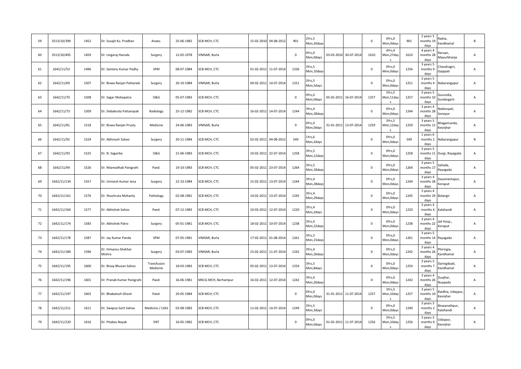| 59 | 3513/10/399 | 1452 | Dr. Susajit Ku. Pradhan       | Anaes.                  | 25-06-1982 | SCB MCH, CTC        | 15-02-2010 | 04-08-2012 | 901         | Yrs,5<br>Mon, 20day   |            |            | $\mathbf 0$ | OYrs,0<br>Mon, Odays          | 901  | 2 years 5<br>Raikia.<br>months 19<br>Kandhamal<br>days               | $\, {\sf B}$   |
|----|-------------|------|-------------------------------|-------------------------|------------|---------------------|------------|------------|-------------|-----------------------|------------|------------|-------------|-------------------------------|------|----------------------------------------------------------------------|----------------|
| 60 | 3513/10/405 | 1459 | Dr. Lingaraj Hansda           | Surgery                 | 12-05-1978 | VIMSAR, Burla       |            |            | $\mathbf 0$ | )Yrs,0<br>Mon, Odays  | 03-03-2010 | 30-07-2014 | 1610        | 4Yrs,4<br>Mon,27day           | 1610 | 4 years 4<br>laruan,<br>months 28<br>Mayurbhanja<br>days             | A              |
| 61 | 1642/11/53  | 1496 | Dr. Santanu Kumar Padhy       | SPM                     | 08-07-1984 | SCB MCH, CTC        | 01-02-2011 | 11-07-2014 | 1256        | Yrs,5<br>Mon,10day    |            |            | $\mathbf 0$ | OYrs,0<br>Mon, Odays          | 1256 | 3 years 5<br>handragiri,<br>months 9<br>Gajapati<br>days             | A              |
| 62 | 1642/11/69  | 1507 | Dr. Biswa Ranjan Pattanaik    | Surgery                 | 20-10-1984 | /IMSAR, Burla       | 09-02-2011 | 14-07-2014 | 1251        | Yrs,5<br>Mon,5days    |            |            | $\mathsf 0$ | OYrs,0<br>Mon,0days           | 1251 | 3 years 5<br>months 4<br>Nabarangapur<br>days                        | А              |
| 63 | 1642/11/70  | 1508 | Dr. Sagar Mohapatra           | <b>O&amp;G</b>          | 05-07-1983 | SCB MCH, CTC        |            |            | $\mathbf 0$ | Yrs,0<br>Aon, Odays   | 05-02-2011 | 16-07-2014 | 1257        | 3Yrs,5<br>Mon,11day           | 1257 | 3 years 5<br>Gurundia,<br>months 10<br>Sundargarh<br>days            | A              |
| 64 | 1642/11/73  | 1509 | Dr. Debabrata Pattanayak      | Radiology               | 25-12-1982 | SCB MCH, CTC        | 16-02-2011 | 14-07-2014 | 1244        | Yrs,4<br>Mon, 28day   |            |            | 0           | OYrs,0<br>Mon, Odays          | 1244 | 3 years 4<br>Naikenpali,<br>months 28<br>Sonepur<br>days             | A              |
| 65 | 1642/11/81  | 1518 | Dr. Biswa Ranjan Prusty       | Medicine                | 24-06-1983 | VIMSAR, Burla       |            |            | $\mathbf 0$ | Yrs,0<br>Aon, Odays   | 31-01-2011 | 13-07-2014 | 1259        | 3Yrs,5<br>Mon,12day<br>$\sim$ | 1259 | 3 years 5<br>hagamunda,<br>months 12<br>Ceonjhar<br>days             | Α              |
| 66 | 1642/11/92  | 1524 | Dr. Abhinash Sahoo            | Surgery                 | 20-11-1984 | SCB MCH, CTC        | 02-02-2011 | 04-08-2012 | 549         | Yrs,6<br>Mon, 2 days  |            |            | $\mathsf 0$ | OYrs,0<br>Mon, Odays          | 549  | 1 years 6<br>months 2<br>Nabarangapur<br>days                        | B              |
| 67 | 1642/11/93  | 1525 | Dr. N. Sagarika               | <b>O&amp;G</b>          | 21-06-1983 | SCB MCH, CTC        | 10-02-2011 | 22-07-2014 | 1258        | Yrs,5<br>Mon, 12day   |            |            | $\mathsf 0$ | OYrs,0<br>Mon,0days           | 1258 | 3 years 5<br>months 11<br>Durgi, Rayagada<br>days                    | A              |
| 68 | 1642/11/94  | 1526 | Dr. Nilamadhab Panigrahi      | Paed.                   | 19-10-1983 | SCB MCH, CTC        | 05-02-2011 | 23-07-2014 | 1264        | Yrs,5<br>Mon, 18day   |            |            | $\mathbf 0$ | OYrs,0<br>Mon, Odays          | 1264 | 3 years 5<br>sahada,<br>months 1.<br>Rayagada<br>days                | А              |
| 69 | 1642/11/134 | 1557 | Dr. Unmesh Kumar Jena         | Surgery                 | 22-10-1984 | SCB MCH, CTC        | 15-02-2011 | 13-07-2014 | 1244        | Yrs,4<br>Mon, 28day   |            |            | $\mathbf 0$ | OYrs,0<br>Mon, Odays          | 1244 | 3 years 4<br>Jasamantapur,<br>months 28<br>Koraput<br>days           | А              |
| 70 | 1642/11/161 | 1576 | Dr. Shushruta Mohanty         | Pathology               | 02-08-1981 | SCB MCH, CTC        | 14-02-2011 | 13-07-2014 | 1245        | Yrs,4<br>Mon, 29day   |            |            | $\mathsf 0$ | OYrs,0<br>Mon, Odays          | 1245 | 3 years 4<br>months 29 Bolangir<br>days                              | A              |
| 71 | 1642/11/164 | 1577 | Dr. Abhishek Sahoo            | Paed.                   | 07-12-1983 | SCB MCH, CTC        | 10-03-2011 | 12-07-2014 | 1220        | Yrs,4<br>Mon, 2 days  |            |            | $\mathsf 0$ | OYrs,0<br>Mon,0days           | 1220 | 3 years 4<br>months 4<br>Kalahandi<br>days                           | А              |
| 72 | 1642/11/174 | 1583 | Dr. Abhishek Patro            | Surgery                 | 05-01-1981 | SCB MCH, CTC        | 18-02-2011 | 10-07-2014 | 1238        | Yrs,4<br>Mon, 22 days |            |            | $\mathbf 0$ | OYrs,0<br>Mon, Odays          | 1238 | 3 years 4<br>ail Hosp.,<br>months 22<br><b>Coraput</b><br>days       | Α              |
| 73 | 1642/11/178 | 1587 | Dr. Jay Kumar Panda           | SPM                     | 07-05-1981 | VIMSAR, Burla       | 17-02-2011 | 01-08-2014 | 1261        | Yrs,5<br>Mon,15day    |            |            | $\mathbf 0$ | OYrs,0<br>Mon, Odays          | 1261 | 3 years 5<br>months 14 Rayagada<br>days                              | $\mathsf{A}$   |
| 74 | 1642/11/189 | 1596 | Dr. Himansu Shekhar<br>Mishra | Surgery                 | 03-07-1983 | VIMSAR, Burla       | 15-02-2011 | 11-07-2014 | 1242        | Yrs,4<br>Mon, 26day   |            |            | $\mathsf 0$ | OYrs,0<br>Mon,0days           | 1242 | 3 years 4<br>Phiringia,<br>months 26<br>andhamal<br>days             | A              |
| 75 | 1642/11/195 | 1600 | Dr. Binay Bhusan Sahoo        | Transfusion<br>Medicine | 18-03-1983 | SCB MCH, CTC        | 05-02-2011 | 13-07-2014 | 1254        | Yrs,5<br>Mon,8days    |            |            | $\mathsf 0$ | OYrs,0<br>Mon, Odays          | 1254 | 3 years 5<br>Daringibadi,<br>months 7<br>andhamal<br>days            | А              |
| 76 | 1642/11/196 | 1601 | Dr. Pranab Kumar Panigrahi    | Paed.                   | 16-06-1981 | MKCG MCH, Berhampur | 16-02-2011 | 12-07-2014 | 1242        | Yrs,4<br>Mon, 26day   |            |            | $\mathbf 0$ | OYrs,0<br>Mon,0days           | 1242 | 3 years 4<br>Duajhar,<br>months 26<br><b>Nuapada</b><br>days         | Α              |
| 77 | 1642/11/197 | 1602 | Dr. Bhabatosh Ghosh           | Paed.                   | 20-05-1984 | SCB MCH, CTC        |            |            | $\mathbf 0$ | Yrs,0<br>Mon, Odays   | 31-01-2011 | 11-07-2014 | 1257        | 3Yrs,5<br>Mon,10day           | 1257 | 3 years 5<br>aidhia, Udaypur<br>months 10<br><b>Ceonjhar</b><br>days | $\overline{A}$ |
| 78 | 1642/11/211 | 1611 | Dr. Swapna Sarit Sahoo        | Medicine / LSAS         | 03-08-1983 | SCB MCH, CTC        | 11-02-2011 | 14-07-2014 | 1249        | Yrs,5<br>Mon, 3 days  |            |            | $\mathsf 0$ | OYrs,0<br>Mon,0days           | 1249 | 3 years 5<br>iswanathpur,<br>months 2<br><b>Calahandi</b><br>days    | A              |
| 79 | 1642/11/220 | 1616 | Dr. Pitabas Nayak             | <b>ENT</b>              | 16-05-1982 | SCB MCH, CTC        |            |            | $\mathbf 0$ | )Yrs,0<br>Mon, Odays  | 01-02-2011 | 11-07-2014 | 1256        | 3Yrs,5<br>Mon, 10day          | 1256 | 3 years 5<br>Jdaypur,<br>months 9<br>Keonjhar<br>days                | A              |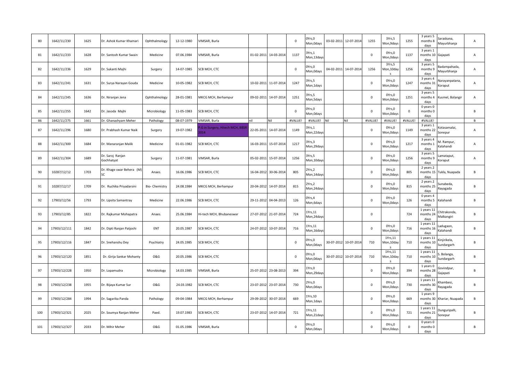| 80  | 1642/11/230  | 1625 | Dr. Ashok Kumar Khamari         | Ophthalmology  | 12-12-1980 | VIMSAR, Burla                        |            |                       | $\mathbf 0$ | OYrs,0<br>Mon, Odays          |            | 03-02-2011 12-07-2014 | 1255                | 3Yrs,5<br>Mon, 9days  | 1255         | 3 years 5<br>months 8<br>davs   | Saraskana,<br>Mayurbhanja   | Α            |
|-----|--------------|------|---------------------------------|----------------|------------|--------------------------------------|------------|-----------------------|-------------|-------------------------------|------------|-----------------------|---------------------|-----------------------|--------------|---------------------------------|-----------------------------|--------------|
| 81  | 1642/11/233  | 1628 | Dr. Santosh Kumar Swain         | Medicine       | 07.06.1984 | VIMSAR, Burla                        | 01-02-2011 | 14-03-2014            | 1137        | 3Yrs,1<br>Mon, 13day:         |            |                       | $\mathsf{O}\xspace$ | OYrs, 0<br>Mon, Odays | 1137         | 3 years 1<br>months 10<br>days  | Gajapati                    | A            |
| 82  | 1642/11/236  | 1629 | Dr. Sukanti Majhi               | Surgery        | 14-07-1985 | SCB MCH, CTC                         |            |                       | $\mathbf 0$ | OYrs,O<br>Mon, Odays          | 04-02-2011 | 14-07-2014            | 1256                | 3Yrs,5<br>Mon,10day   | 1256         | 3 years 5<br>months 9<br>days   | Badampahada.<br>Mayurbhanja | A            |
| 83  | 1642/11/241  | 1631 | Dr. Surya Narayan Gouda         | Medicine       | 10-05-1982 | SCB MCH, CTC                         | 10-02-2011 | 11-07-2014            | 1247        | 3Yrs,5<br>Mon, 1days          |            |                       | $\mathsf 0$         | OYrs, 0<br>Mon, Odays | 1247         | 3 years 4<br>months 31<br>days  | Varayanpatana,<br>Koraput   | Α            |
| 84  | 1642/11/245  | 1636 | Dr. Niranjan Jena               | Ophthalmology  | 28-01-1981 | MKCG MCH, Berhampur                  | 09-02-2011 | 14-07-2014            | 1251        | 3Yrs,5<br>Mon, 5 days         |            |                       | $\mathbf 0$         | OYrs, 0<br>Mon,0days  | 1251         | 3 years 5<br>months 4<br>days   | Kusmel, Bolangir            | Α            |
| 85  | 1642/11/255  | 1642 | Dr. Jasoda Majhi                | Microbiology   | 11-05-1983 | SCB MCH, CTC                         |            |                       | $\Omega$    | Yrs,0<br>Mon, Odays           |            |                       | $\Omega$            | OYrs, 0<br>Mon, Odays | $\mathbf{0}$ | 0 years 0<br>months 0<br>days   |                             | B            |
| 86  | 1642/11/275  | 1661 | Dr. Ghanashyam Meher            | Pathology      | 08-07-1979 | VIMSAR, Burla                        | nil        | Nil                   | #VALUE!     | #VALUE!                       | Nil        | Nil                   | #VALUE              | #VALUE!               | #VALUE       | #VALUE!                         |                             | $\mathsf{B}$ |
| 87  | 1642/11/296  | 1680 | Dr. Prabhash Kumar Naik         | Surgery        | 19-07-1982 | G in Surgery, Hitech MCH, BBS<br>014 | 22-05-2011 | 14-07-2014            | 1149        | Yrs,1<br>Mon, 22 days         |            |                       | $\Omega$            | OYrs, 0<br>Mon, Odays | 1149         | 3 years 1<br>months 22<br>days  | <br>samalai<br>Sonepur      | Α            |
| 88  | 1642/11/300  | 1684 | Dr. Manaranjan Malik            | Medicine       | 01-01-1982 | SCB MCH, CTC                         | 16-03-2011 | 15-07-2014            | 1217        | 3Yrs,3<br>Mon, 29day:         |            |                       | $\mathsf 0$         | OYrs, 0<br>Mon, Odays | 1217         | 3 years 4<br>months 1<br>days   | M. Rampur.<br>Kalahandi     | A            |
| 89  | 1642/11/304  | 1689 | Dr. Saroj Ranjan<br>Gochhatyat  | Surgery        | 11-07-1981 | VIMSAR, Burla                        | 05-02-2011 | 15-07-2014            | 1256        | 3Yrs,5<br>Mon, 10days         |            |                       | $\mathsf{O}\xspace$ | OYrs,0<br>Mon, Odays  | 1256         | 3 years 5<br>months 9<br>days   | amataput,<br>Koraput        | A            |
| 90  | 10287/12/12  | 1703 | Dr. Khage swar Behera (M<br>SC. | Anaes.         | 16.06.1986 | SCB MCH, CTC                         | 16-04-2012 | 30-06-2014            | 805         | 2Yrs,2<br>Mon, 14days         |            |                       | $\mathsf{O}\xspace$ | OYrs,0<br>Mon, Odays  | 805          | 2 years 2<br>months 15<br>days  | Tukla, Nuapada              | B            |
| 91  | 10287/12/17  | 1709 | Dr. Ruchika Priyadarsini        | Bio- Chemistry | 24.08.1984 | MKCG MCH, Berhampur                  | 20-04-2012 | 14-07-2014            | 815         | 2Yrs,2<br>Mon, 24 days        |            |                       | $\mathsf 0$         | OYrs,0<br>Mon,0days   | 815          | 2 years 2<br>months 25<br>days  | Sunabeda,<br>Rayagada       | B            |
| 92  | 17903/12/56  | 1793 | Dr. Lipsita Samantray           | Medicine       | 22.06.1986 | SCB MCH, CTC                         | 29-11-2012 | 04-04-2013            | 126         | OYrs,4<br>Mon, 6days          |            |                       | $\mathsf 0$         | OYrs, 0<br>Mon, Odays | 126          | 0 years 4<br>months 5<br>days   | Kalahandi                   | B            |
| 93  | 17903/12/85  | 1822 | Dr. Rajkumar Mohapatra          | Anaes.         | 25.06.1984 | Hi-tech MCH, Bhubaneswar             |            | 27-07-2012 21-07-2014 | 724         | LYrs, 11<br>Mon, 24 days      |            |                       | $\mathsf{O}\xspace$ |                       | 724          | 1 years 11<br>months 24<br>days | Chitrakonda,<br>Malkangiri  | B            |
| 94  | 17903/12/111 | 1842 | Dr. Dipti Ranjan Patjoshi       | ENT            | 20.05.1987 | SCB MCH, CTC                         | 24-07-2012 | 10-07-2014            | 716         | 1Yrs, 11<br>Mon, 16days       |            |                       | $\mathsf{O}\xspace$ | OYrs, 0<br>Mon, Odays | 716          | 1 years 11<br>months 16<br>days | adugaon,<br>Kalahandi       | R            |
| 95  | 17903/12/116 | 1847 | Dr. Snehanshu Dey               | Psychiatry     | 24.05.1985 | SCB MCH, CTC                         |            |                       | $\mathbf 0$ | OYrs,O<br>Mon, Odays          | 30-07-2012 | 10-07-2014            | 710                 | 1Yrs, 11<br>Mon,10day | 710          | 1 years 11<br>months 10<br>days | Kinjirikela,<br>Sundargarh  | B            |
| 96  | 17903/12/120 | 1851 | Dr. Girija Sankar Mohanty       | <b>O&amp;G</b> | 20.05.1986 | SCB MCH, CTC                         |            |                       | $\mathbf 0$ | Yrs,0<br>Mon, Odays           | 30-07-2012 | 10-07-2014            | 710                 | 1Yrs, 11<br>Mon,10day | 710          | 1 years 11<br>months 10<br>davs | Bolanga,<br>Sundargarh      | B            |
| 97  | 17903/12/228 | 1950 | Dr. Lopamudra                   | Microbiology   | 14.03.1985 | VIMSAR, Burla                        | 25-07-2012 | 23-08-2013            | 394         | LYrs,0<br>Mon, 29 days        |            |                       | $\mathbf 0$         | OYrs,0<br>Mon, Odays  | 394          | 1 years 0<br>months 28<br>days  | Govindpur,<br>Gajapati      | R.           |
| 98  | 17903/12/238 | 1955 | Dr. Bijaya Kumar Sur            | <b>O&amp;G</b> | 24.03.1982 | SCB MCH, CTC                         | 23-07-2012 | 23-07-2014            | 730         | 2Yrs,0<br>Mon, Odays          |            |                       | $\mathsf 0$         | OYrs, 0<br>Mon, Odays | 730          | 1 years 11<br>months 30<br>days | Khambesi,<br>Rayagada       | B            |
| 99  | 17903/12/284 | 1994 | Dr. Sagarika Panda              | Pathology      | 09-04-1984 | MKCG MCH, Berhampur                  | 29-09-2012 | 30-07-2014            | 669         | <b>LYrs, 10</b><br>Mon, 1days |            |                       | $\mathsf 0$         | OYrs, 0<br>Mon, Odays | 669          | 1 years 9<br>months 30<br>days  | Khariar, Nuapada            | B            |
| 100 | 17903/12/321 | 2025 | Dr. Soumya Ranjan Meher         | Paed.          | 19.07.1983 | SCB MCH, CTC                         | 23-07-2012 | 14-07-2014            | 721         | LYrs, 11<br>Mon, 21 days      |            |                       | $\pmb{0}$           | OYrs, 0<br>Mon,0days  | 721          | 1 years 11<br>months 21<br>days | Dunguripalli,<br>Sonepur    | B            |
| 101 | 17903/12/327 | 2033 | Dr. Mihir Meher                 | <b>O&amp;G</b> | 01.05.1986 | VIMSAR, Burla                        |            |                       | $\Omega$    | )Yrs,0<br>Mon, Odays          |            |                       | $\Omega$            | OYrs, 0<br>Mon, Odays | $\mathbf{0}$ | 0 years 0<br>months 0<br>days   |                             | B            |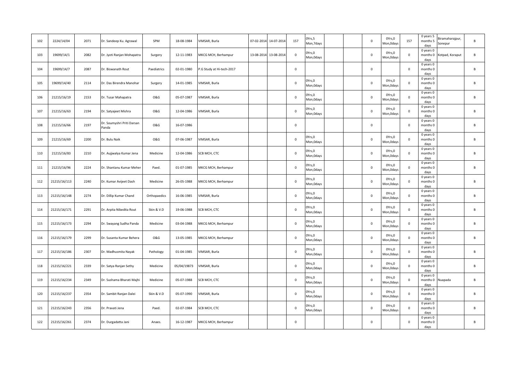| 102 | 2224/14/04   | 2071 | Dr. Sandeep Ku. Agrawal             | SPM            | 18-08-1984  | VIMSAR, Burla                         | 07-02-2014 | 14-07-2014 | 157         | Yrs,5<br>Mon, 7 days |  | $\mathsf 0$ | OYrs, 0<br>Mon, Odays | 157         | 0 years 5<br>months 5<br>days | Biramaharajpur,<br>Sonepur | B  |
|-----|--------------|------|-------------------------------------|----------------|-------------|---------------------------------------|------------|------------|-------------|----------------------|--|-------------|-----------------------|-------------|-------------------------------|----------------------------|----|
| 103 | 19699/14/1   | 2082 | Dr. Jyoti Ranjan Mohapatra          | Surgery        | 12-11-1983  | MKCG MCH, Berhampur                   | 13-08-2014 | 13-08-2014 | $\mathbf 0$ | Yrs,0<br>Mon, Odays  |  | $\mathbf 0$ | OYrs,0<br>Mon, Odays  | $\mathbf 0$ | 0 years 0<br>months 0<br>days | Kotpad, Koraput            | B  |
| 104 | 19699/14/7   | 2087 | Dr. Biswanath Rout                  | Paediatrics    | 02-01-1980  | <sup>2</sup> .G Study at Hi-tech-2017 |            |            | $\mathbf 0$ |                      |  | $\mathbf 0$ |                       | $\mathsf 0$ | 0 years 0<br>months 0<br>days |                            | В  |
| 105 | 19699/14/40  | 2114 | Dr. Das Birendra Manohar            | Surgery        | 14-01-1985  | VIMSAR, Burla                         |            |            | $\mathbf 0$ | Yrs,0<br>Mon, Odays  |  | $\mathbf 0$ | OYrs,0<br>Mon, Odays  | $\mathbf 0$ | 0 years 0<br>months 0<br>days |                            | B  |
| 106 | 21215/16/19  | 2153 | Dr. Tusar Mahapatra                 | <b>O&amp;G</b> | 05-07-1987  | VIMSAR, Burla                         |            |            | $\mathsf 0$ | Yrs,0<br>Mon, Odays  |  | $\pmb{0}$   | OYrs, 0<br>Mon, Odays | $\mathbf 0$ | 0 years 0<br>months 0<br>days |                            | B  |
| 107 | 21215/16/63  | 2194 | Dr. Satyajeet Mishra                | <b>O&amp;G</b> | 12-04-1986  | VIMSAR, Burla                         |            |            | $\mathbf 0$ | Yrs,0<br>Mon, Odays  |  | $\mathsf 0$ | OYrs,0<br>Mon, Odays  | $\mathbf 0$ | 0 years 0<br>months 0<br>days |                            | B  |
| 108 | 21215/16/66  | 2197 | Dr. Soumyshri Priti Darsan<br>Panda | <b>O&amp;G</b> | 16-07-1986  |                                       |            |            | $\mathbf 0$ |                      |  | $\mathsf 0$ |                       | $\mathsf 0$ | 0 years 0<br>months 0<br>days |                            | B  |
| 109 | 21215/16/69  | 2200 | Dr. Bulu Naik                       | <b>O&amp;G</b> | 07-06-1987  | VIMSAR, Burla                         |            |            | $\mathsf 0$ | Yrs,0<br>Mon, Odays  |  | 0           | OYrs,0<br>Mon,0days   | $\pmb{0}$   | 0 years 0<br>months 0<br>days |                            | B  |
| 110 | 21215/16/83  | 2210 | Dr. Aujjwalya Kumar Jena            | Medicine       | 12-04-1986  | SCB MCH, CTC                          |            |            | $\mathbf 0$ | Yrs,0<br>Mon, Odays  |  | $\mathsf 0$ | OYrs,0<br>Mon, Odays  | $\mathsf 0$ | 0 years 0<br>months 0<br>days |                            | B  |
| 111 | 21215/16/96  | 2224 | Dr. Shantanu Kumar Meher            | Paed.          | 01-07-1985  | MKCG MCH, Berhampur                   |            |            | $\mathbf 0$ | )Yrs,0<br>Mon, Odays |  | $\mathsf 0$ | OYrs,0<br>Mon, Odays  | $\mathbf 0$ | 0 years 0<br>months 0<br>days |                            | B  |
| 112 | 21215/16/113 | 2240 | Dr. Kumar Avijeet Dash              | Medicine       | 26-05-1988  | MKCG MCH, Berhampur                   |            |            | $\mathbf 0$ | Yrs,0<br>Mon, Odays  |  | $\mathbf 0$ | OYrs,0<br>Mon, Odays  | $\mathbf 0$ | 0 years 0<br>months 0<br>days |                            | R. |
| 113 | 21215/16/148 | 2274 | Dr. Dillip Kumar Chand              | Orthopaedics   | 16-06-1985  | VIMSAR, Burla                         |            |            | $\mathbf 0$ | Yrs,0<br>Mon, Odays  |  | $\mathsf 0$ | OYrs, 0<br>Mon, Odays | $\mathsf 0$ | 0 years 0<br>months 0<br>days |                            | B  |
| 114 | 21215/16/171 | 2291 | Dr. Arpita Nibedita Rout            | Skin & V.D     | 19-06-1988  | SCB MCH, CTC                          |            |            | $\mathbf 0$ | )Yrs,0<br>Mon, Odays |  | $\mathbf 0$ | OYrs,0<br>Mon, Odays  | $\mathbf 0$ | 0 years 0<br>months 0<br>days |                            | B  |
| 115 | 21215/16/173 | 2294 | Dr. Swayang Sudha Panda             | Medicine       | 03-04-1988  | MKCG MCH, Berhampur                   |            |            | $\mathbf 0$ | )Yrs,0<br>Mon, Odays |  | $\mathbf 0$ | OYrs,0<br>Mon, Odays  | $\mathbf 0$ | 0 years 0<br>months 0<br>days |                            | R. |
| 116 | 21215/16/179 | 2299 | Dr. Susanta Kumar Behera            | <b>O&amp;G</b> | 13-05-1985  | MKCG MCH, Berhampur                   |            |            | $\mathbf 0$ | )Yrs,0<br>Mon, Odays |  | $\mathsf 0$ | OYrs,0<br>Mon, Odays  | $\mathbf 0$ | 0 years 0<br>months 0<br>days |                            | B  |
| 117 | 21215/16/186 | 2307 | Dr. Madhusmita Nayak                | Pathology      | 01-04-1985  | VIMSAR, Burla                         |            |            | $\mathbf 0$ | Yrs,0<br>Mon, Odays  |  | $\mathbf 0$ | OYrs, 0<br>Mon, Odays | $\mathbf 0$ | 0 years 0<br>months 0<br>days |                            | B  |
| 118 | 21215/16/221 | 2339 | Dr. Satya Ranjan Sethy              | Medicine       | 05/04/19873 | VIMSAR, Burla                         |            |            | $\mathbf 0$ | )Yrs,0<br>Mon, Odays |  | $\mathsf 0$ | OYrs,0<br>Mon, Odays  | $\mathbf 0$ | 0 years 0<br>months 0<br>days |                            | B  |
| 119 | 21215/16/234 | 2349 | Dr. Sushama Bharati Majhi           | Medicine       | 05-07-1988  | SCB MCH, CTC                          |            |            | $\mathbf 0$ | )Yrs,0<br>Mon, Odays |  | $\mathsf 0$ | OYrs,0<br>Mon, Odays  | $\mathbf 0$ | 0 years 0<br>months 0<br>days | Nuapada                    | R. |
| 120 | 21215/16/237 | 2354 | Dr. Sambit Ranjan Dalei             | Skin & V.D     | 05-07-1990  | VIMSAR, Burla                         |            |            | $\mathbf 0$ | Yrs,0<br>Mon, Odays  |  | $\mathsf 0$ | OYrs,0<br>Mon, Odays  | $\mathbf 0$ | 0 years 0<br>months 0<br>days |                            | B  |
| 121 | 21215/16/243 | 2356 | Dr. Pravati Jena                    | Paed.          | 02-07-1984  | SCB MCH, CTC                          |            |            | $\mathbf 0$ | Yrs,0<br>Mon, Odays  |  | $\mathsf 0$ | OYrs,0<br>Mon, Odays  | $\mathbf 0$ | 0 years 0<br>months 0<br>days |                            | B  |
| 122 | 21215/16/261 | 2374 | Dr. Durgadatta Jani                 | Anaes.         | 16-12-1987  | MKCG MCH, Berhampur                   |            |            | $\mathbf 0$ |                      |  | $\mathsf 0$ |                       | $\mathbf 0$ | 0 years 0<br>months 0<br>days |                            | B  |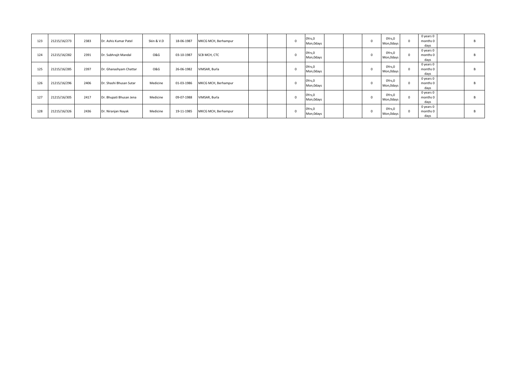| 123 | 21215/16/273 | 2383 | Dr. Ashis Kumar Patel   | Skin & V.D     | 18-06-1987 | MKCG MCH, Berhampur |  | OYrs, 0<br>Mon, Odays |  | $\Omega$ | OYrs,0<br>Mon, Odays | $\Omega$ | 0 years 0<br>months 0<br>days |  |
|-----|--------------|------|-------------------------|----------------|------------|---------------------|--|-----------------------|--|----------|----------------------|----------|-------------------------------|--|
| 124 | 21215/16/282 | 2391 | Dr. Subhrajit Mandal    | <b>O&amp;G</b> | 03-10-1987 | SCB MCH, CTC        |  | OYrs,0<br>Mon, Odays  |  |          | OYrs,0<br>Mon, Odays |          | 0 years 0<br>months 0<br>days |  |
| 125 | 21215/16/285 | 2397 | Dr. Ghanashyam Chattar  | <b>O&amp;G</b> | 26-06-1982 | VIMSAR, Burla       |  | OYrs, 0<br>Mon, Odays |  |          | OYrs,0<br>Mon, Odays |          | 0 years 0<br>months 0<br>days |  |
| 126 | 21215/16/296 | 2406 | Dr. Shashi Bhusan Sutar | Medicine       | 01-03-1986 | MKCG MCH, Berhampur |  | OYrs,0<br>Mon, Odays  |  |          | OYrs,0<br>Mon, Odays |          | 0 years 0<br>months 0<br>days |  |
| 127 | 21215/16/305 | 2417 | Dr. Bhupati Bhusan Jena | Medicine       | 09-07-1988 | VIMSAR, Burla       |  | OYrs, 0<br>Mon, Odays |  |          | OYrs,0<br>Mon, Odays | $\Omega$ | 0 years 0<br>months 0<br>days |  |
| 128 | 21215/16/326 | 2436 | Dr. Niranjan Nayak      | Medicine       | 19-11-1985 | MKCG MCH, Berhampur |  | OYrs,0<br>Mon, Odays  |  |          | OYrs,0<br>Mon, Odays | $\Omega$ | 0 years 0<br>months 0<br>days |  |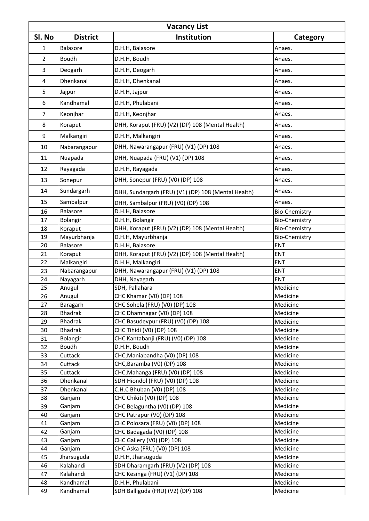| <b>Vacancy List</b> |                 |                                                       |                      |  |  |  |  |  |  |  |  |
|---------------------|-----------------|-------------------------------------------------------|----------------------|--|--|--|--|--|--|--|--|
| SI. No              | <b>District</b> | Institution                                           | Category             |  |  |  |  |  |  |  |  |
| 1                   | Balasore        | D.H.H, Balasore                                       | Anaes.               |  |  |  |  |  |  |  |  |
| $\overline{2}$      | <b>Boudh</b>    | D.H.H, Boudh                                          | Anaes.               |  |  |  |  |  |  |  |  |
| 3                   | Deogarh         | D.H.H, Deogarh                                        | Anaes.               |  |  |  |  |  |  |  |  |
|                     |                 |                                                       |                      |  |  |  |  |  |  |  |  |
| 4                   | Dhenkanal       | D.H.H, Dhenkanal                                      | Anaes.               |  |  |  |  |  |  |  |  |
| 5                   | Jajpur          | D.H.H, Jajpur                                         | Anaes.               |  |  |  |  |  |  |  |  |
| 6                   | Kandhamal       | D.H.H, Phulabani                                      | Anaes.               |  |  |  |  |  |  |  |  |
| $\overline{7}$      | Keonjhar        | D.H.H, Keonjhar                                       | Anaes.               |  |  |  |  |  |  |  |  |
| 8                   | Koraput         | DHH, Koraput (FRU) (V2) (DP) 108 (Mental Health)      | Anaes.               |  |  |  |  |  |  |  |  |
| 9                   | Malkangiri      | D.H.H, Malkangiri                                     | Anaes.               |  |  |  |  |  |  |  |  |
| 10                  | Nabarangapur    | DHH, Nawarangapur (FRU) (V1) (DP) 108                 | Anaes.               |  |  |  |  |  |  |  |  |
| 11                  | Nuapada         | DHH, Nuapada (FRU) (V1) (DP) 108                      | Anaes.               |  |  |  |  |  |  |  |  |
| 12                  | Rayagada        | D.H.H, Rayagada                                       | Anaes.               |  |  |  |  |  |  |  |  |
| 13                  | Sonepur         | DHH, Sonepur (FRU) (V0) (DP) 108                      | Anaes.               |  |  |  |  |  |  |  |  |
| 14                  | Sundargarh      | DHH, Sundargarh (FRU) (V1) (DP) 108 (Mental Health)   | Anaes.               |  |  |  |  |  |  |  |  |
| 15                  | Sambalpur       |                                                       | Anaes.               |  |  |  |  |  |  |  |  |
| 16                  | Balasore        | DHH, Sambalpur (FRU) (V0) (DP) 108<br>D.H.H, Balasore | <b>Bio-Chemistry</b> |  |  |  |  |  |  |  |  |
| 17                  | Bolangir        | D.H.H, Bolangir                                       | <b>Bio-Chemistry</b> |  |  |  |  |  |  |  |  |
| 18                  | Koraput         | DHH, Koraput (FRU) (V2) (DP) 108 (Mental Health)      | <b>Bio-Chemistry</b> |  |  |  |  |  |  |  |  |
| 19                  | Mayurbhanja     | D.H.H, Mayurbhanja                                    | <b>Bio-Chemistry</b> |  |  |  |  |  |  |  |  |
| 20                  | Balasore        | D.H.H, Balasore                                       | ENT                  |  |  |  |  |  |  |  |  |
| 21                  | Koraput         | DHH, Koraput (FRU) (V2) (DP) 108 (Mental Health)      | <b>ENT</b>           |  |  |  |  |  |  |  |  |
| 22                  | Malkangiri      | D.H.H, Malkangiri                                     | <b>ENT</b>           |  |  |  |  |  |  |  |  |
| 23                  | Nabarangapur    | DHH, Nawarangapur (FRU) (V1) (DP) 108                 | <b>ENT</b>           |  |  |  |  |  |  |  |  |
| 24                  | Nayagarh        | DHH, Nayagarh                                         | <b>ENT</b>           |  |  |  |  |  |  |  |  |
| 25                  | Anugul          | SDH, Pallahara                                        | Medicine             |  |  |  |  |  |  |  |  |
| 26                  | Anugul          | CHC Khamar (V0) (DP) 108                              | Medicine             |  |  |  |  |  |  |  |  |
| 27                  | Baragarh        | CHC Sohela (FRU) (V0) (DP) 108                        | Medicine             |  |  |  |  |  |  |  |  |
| 28                  | <b>Bhadrak</b>  | CHC Dhamnagar (V0) (DP) 108                           | Medicine             |  |  |  |  |  |  |  |  |
| 29                  | <b>Bhadrak</b>  | CHC Basudevpur (FRU) (V0) (DP) 108                    | Medicine             |  |  |  |  |  |  |  |  |
| 30                  | <b>Bhadrak</b>  | CHC Tihidi (V0) (DP) 108                              | Medicine             |  |  |  |  |  |  |  |  |
| 31                  | Bolangir        | CHC Kantabanji (FRU) (V0) (DP) 108                    | Medicine             |  |  |  |  |  |  |  |  |
| 32                  | Boudh           | D.H.H, Boudh                                          | Medicine             |  |  |  |  |  |  |  |  |
| 33                  | Cuttack         | CHC, Maniabandha (V0) (DP) 108                        | Medicine             |  |  |  |  |  |  |  |  |
| 34                  | Cuttack         | CHC, Baramba (V0) (DP) 108                            | Medicine             |  |  |  |  |  |  |  |  |
| 35                  | Cuttack         | CHC, Mahanga (FRU) (V0) (DP) 108                      | Medicine             |  |  |  |  |  |  |  |  |
| 36                  | Dhenkanal       | SDH Hiondol (FRU) (V0) (DP) 108                       | Medicine             |  |  |  |  |  |  |  |  |
| 37                  | Dhenkanal       | C.H.C Bhuban (V0) (DP) 108                            | Medicine             |  |  |  |  |  |  |  |  |
| 38                  | Ganjam          | CHC Chikiti (V0) (DP) 108                             | Medicine             |  |  |  |  |  |  |  |  |
| 39                  | Ganjam          | CHC Belaguntha (V0) (DP) 108                          | Medicine             |  |  |  |  |  |  |  |  |
| 40                  | Ganjam          | CHC Patrapur (V0) (DP) 108                            | Medicine             |  |  |  |  |  |  |  |  |
| 41                  | Ganjam          | CHC Polosara (FRU) (V0) (DP) 108                      | Medicine             |  |  |  |  |  |  |  |  |
| 42                  | Ganjam          | CHC Badagada (V0) (DP) 108                            | Medicine             |  |  |  |  |  |  |  |  |
| 43                  | Ganjam          | CHC Gallery (V0) (DP) 108                             | Medicine             |  |  |  |  |  |  |  |  |
| 44                  | Ganjam          | CHC Aska (FRU) (V0) (DP) 108                          | Medicine             |  |  |  |  |  |  |  |  |
| 45                  | Jharsuguda      | D.H.H, Jharsuguda                                     | Medicine             |  |  |  |  |  |  |  |  |
| 46                  | Kalahandi       | SDH Dharamgarh (FRU) (V2) (DP) 108                    | Medicine             |  |  |  |  |  |  |  |  |
| 47                  | Kalahandi       | CHC Kesinga (FRU) (V1) (DP) 108                       | Medicine             |  |  |  |  |  |  |  |  |
| 48                  | Kandhamal       | D.H.H, Phulabani                                      | Medicine             |  |  |  |  |  |  |  |  |
| 49                  | Kandhamal       | SDH Balliguda (FRU) (V2) (DP) 108                     | Medicine             |  |  |  |  |  |  |  |  |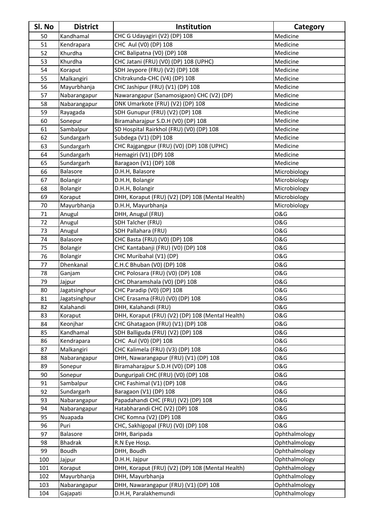| Sl. No | <b>District</b> | Institution                                      | Category       |
|--------|-----------------|--------------------------------------------------|----------------|
| 50     | Kandhamal       | CHC G Udayagiri (V2) (DP) 108                    | Medicine       |
| 51     | Kendrapara      | CHC Aul (V0) (DP) 108                            | Medicine       |
| 52     | Khurdha         | CHC Balipatna (V0) (DP) 108                      | Medicine       |
| 53     | Khurdha         | CHC Jatani (FRU) (V0) (DP) 108 (UPHC)            | Medicine       |
| 54     | Koraput         | SDH Jeypore (FRU) (V2) (DP) 108                  | Medicine       |
| 55     | Malkangiri      | Chitrakunda-CHC (V4) (DP) 108                    | Medicine       |
| 56     | Mayurbhanja     | CHC Jashipur (FRU) (V1) (DP) 108                 | Medicine       |
| 57     | Nabarangapur    | Nawarangapur (Sanamosigaon) CHC (V2) (DP)        | Medicine       |
| 58     | Nabarangapur    | DNK Umarkote (FRU) (V2) (DP) 108                 | Medicine       |
| 59     | Rayagada        | SDH Gunupur (FRU) (V2) (DP) 108                  | Medicine       |
| 60     | Sonepur         | Biramaharajpur S.D.H (V0) (DP) 108               | Medicine       |
| 61     | Sambalpur       | SD Hospital Rairkhol (FRU) (V0) (DP) 108         | Medicine       |
| 62     | Sundargarh      | Subdega (V1) (DP) 108                            | Medicine       |
| 63     | Sundargarh      | CHC Rajgangpur (FRU) (V0) (DP) 108 (UPHC)        | Medicine       |
| 64     | Sundargarh      | Hemagiri (V1) (DP) 108                           | Medicine       |
| 65     | Sundargarh      | Baragaon (V1) (DP) 108                           | Medicine       |
| 66     | Balasore        | D.H.H, Balasore                                  | Microbiology   |
| 67     | Bolangir        | D.H.H, Bolangir                                  | Microbiology   |
| 68     | Bolangir        | D.H.H, Bolangir                                  | Microbiology   |
| 69     | Koraput         | DHH, Koraput (FRU) (V2) (DP) 108 (Mental Health) | Microbiology   |
| 70     | Mayurbhanja     | D.H.H, Mayurbhanja                               | Microbiology   |
| 71     | Anugul          | DHH, Anugul (FRU)                                | <b>O&amp;G</b> |
| 72     | Anugul          | SDH Talcher (FRU)                                | <b>O&amp;G</b> |
| 73     | Anugul          | SDH Pallahara (FRU)                              | <b>O&amp;G</b> |
| 74     | Balasore        | CHC Basta (FRU) (V0) (DP) 108                    | <b>O&amp;G</b> |
| 75     | Bolangir        | CHC Kantabanji (FRU) (V0) (DP) 108               | <b>O&amp;G</b> |
| 76     | Bolangir        | CHC Muribahal (V1) (DP)                          | <b>O&amp;G</b> |
| 77     | Dhenkanal       | C.H.C Bhuban (V0) (DP) 108                       | <b>O&amp;G</b> |
| 78     | Ganjam          | CHC Polosara (FRU) (V0) (DP) 108                 | <b>O&amp;G</b> |
| 79     | Jajpur          | CHC Dharamshala (V0) (DP) 108                    | <b>O&amp;G</b> |
| 80     | Jagatsinghpur   | CHC Paradip (V0) (DP) 108                        | <b>O&amp;G</b> |
| 81     | Jagatsinghpur   | CHC Erasama (FRU) (V0) (DP) 108                  | <b>O&amp;G</b> |
| 82     | Kalahandi       | DHH, Kalahandi (FRU)                             | O&G            |
| 83     | Koraput         | DHH, Koraput (FRU) (V2) (DP) 108 (Mental Health) | <b>O&amp;G</b> |
| 84     | Keonjhar        | CHC Ghatagaon (FRU) (V1) (DP) 108                | <b>O&amp;G</b> |
| 85     | Kandhamal       | SDH Balliguda (FRU) (V2) (DP) 108                | <b>O&amp;G</b> |
| 86     | Kendrapara      | CHC Aul (V0) (DP) 108                            | <b>O&amp;G</b> |
| 87     | Malkangiri      | CHC Kalimela (FRU) (V3) (DP) 108                 | <b>O&amp;G</b> |
| 88     | Nabarangapur    | DHH, Nawarangapur (FRU) (V1) (DP) 108            | <b>O&amp;G</b> |
| 89     | Sonepur         | Biramaharajpur S.D.H (V0) (DP) 108               | <b>O&amp;G</b> |
| 90     | Sonepur         | Dunguripali CHC (FRU) (V0) (DP) 108              | <b>O&amp;G</b> |
| 91     | Sambalpur       | CHC Fashimal (V1) (DP) 108                       | <b>O&amp;G</b> |
| 92     | Sundargarh      | Baragaon (V1) (DP) 108                           | <b>O&amp;G</b> |
| 93     | Nabarangapur    | Papadahandi CHC (FRU) (V2) (DP) 108              | <b>O&amp;G</b> |
| 94     | Nabarangapur    | Hatabharandi CHC (V2) (DP) 108                   | <b>O&amp;G</b> |
| 95     | Nuapada         | CHC Komna (V2) (DP) 108                          | <b>O&amp;G</b> |
| 96     | Puri            | CHC, Sakhigopal (FRU) (V0) (DP) 108              | <b>O&amp;G</b> |
| 97     | Balasore        | DHH, Baripada                                    | Ophthalmology  |
| 98     | <b>Bhadrak</b>  | R.N Eye Hosp.                                    | Ophthalmology  |
| 99     | Boudh           | DHH, Boudh                                       | Ophthalmology  |
| 100    | Jajpur          | D.H.H, Jajpur                                    | Ophthalmology  |
| 101    | Koraput         | DHH, Koraput (FRU) (V2) (DP) 108 (Mental Health) | Ophthalmology  |
| 102    | Mayurbhanja     | DHH, Mayurbhanja                                 | Ophthalmology  |
| 103    | Nabarangapur    | DHH, Nawarangapur (FRU) (V1) (DP) 108            | Ophthalmology  |
| 104    | Gajapati        | D.H.H, Paralakhemundi                            | Ophthalmology  |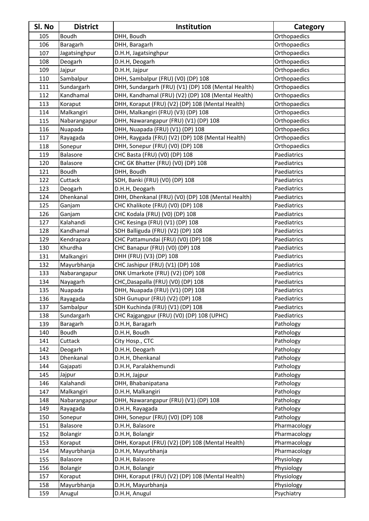| SI. No | <b>District</b> | Institution                                         | Category     |
|--------|-----------------|-----------------------------------------------------|--------------|
| 105    | <b>Boudh</b>    | DHH, Boudh                                          | Orthopaedics |
| 106    | Baragarh        | DHH, Baragarh                                       | Orthopaedics |
| 107    | Jagatsinghpur   | D.H.H, Jagatsinghpur                                | Orthopaedics |
| 108    | Deogarh         | D.H.H, Deogarh                                      | Orthopaedics |
| 109    | Jajpur          | D.H.H, Jajpur                                       | Orthopaedics |
| 110    | Sambalpur       | DHH, Sambalpur (FRU) (V0) (DP) 108                  | Orthopaedics |
| 111    | Sundargarh      | DHH, Sundargarh (FRU) (V1) (DP) 108 (Mental Health) | Orthopaedics |
| 112    | Kandhamal       | DHH, Kandhamal (FRU) (V2) (DP) 108 (Mental Health)  | Orthopaedics |
| 113    | Koraput         | DHH, Koraput (FRU) (V2) (DP) 108 (Mental Health)    | Orthopaedics |
| 114    | Malkangiri      | DHH, Malkangiri (FRU) (V3) (DP) 108                 | Orthopaedics |
| 115    | Nabarangapur    | DHH, Nawarangapur (FRU) (V1) (DP) 108               | Orthopaedics |
| 116    | Nuapada         | DHH, Nuapada (FRU) (V1) (DP) 108                    | Orthopaedics |
| 117    | Rayagada        | DHH, Raygada (FRU) (V2) (DP) 108 (Mental Health)    | Orthopaedics |
| 118    | Sonepur         | DHH, Sonepur (FRU) (V0) (DP) 108                    | Orthopaedics |
| 119    | Balasore        | CHC Basta (FRU) (V0) (DP) 108                       | Paediatrics  |
| 120    | Balasore        | CHC GK Bhatter (FRU) (V0) (DP) 108                  | Paediatrics  |
| 121    | <b>Boudh</b>    | DHH, Boudh                                          | Paediatrics  |
| 122    | Cuttack         | SDH, Banki (FRU) (V0) (DP) 108                      | Paediatrics  |
| 123    | Deogarh         | D.H.H, Deogarh                                      | Paediatrics  |
| 124    | Dhenkanal       | DHH, Dhenkanal (FRU) (V0) (DP) 108 (Mental Health)  | Paediatrics  |
| 125    | Ganjam          | CHC Khalikote (FRU) (V0) (DP) 108                   | Paediatrics  |
| 126    | Ganjam          | CHC Kodala (FRU) (V0) (DP) 108                      | Paediatrics  |
| 127    | Kalahandi       | CHC Kesinga (FRU) (V1) (DP) 108                     | Paediatrics  |
| 128    | Kandhamal       | SDH Balliguda (FRU) (V2) (DP) 108                   | Paediatrics  |
| 129    | Kendrapara      | CHC Pattamundai (FRU) (V0) (DP) 108                 | Paediatrics  |
| 130    | Khurdha         | CHC Banapur (FRU) (V0) (DP) 108                     | Paediatrics  |
| 131    | Malkangiri      | DHH (FRU) (V3) (DP) 108                             | Paediatrics  |
| 132    | Mayurbhanja     | CHC Jashipur (FRU) (V1) (DP) 108                    | Paediatrics  |
| 133    | Nabarangapur    | DNK Umarkote (FRU) (V2) (DP) 108                    | Paediatrics  |
| 134    | Nayagarh        | CHC, Dasapalla (FRU) (V0) (DP) 108                  | Paediatrics  |
| 135    | Nuapada         | DHH, Nuapada (FRU) (V1) (DP) 108                    | Paediatrics  |
| 136    | Rayagada        | SDH Gunupur (FRU) (V2) (DP) 108                     | Paediatrics  |
| 137    | Sambalpur       | SDH Kuchinda (FRU) (V1) (DP) 108                    | Paediatrics  |
| 138    | Sundargarh      | CHC Rajgangpur (FRU) (V0) (DP) 108 (UPHC)           | Paediatrics  |
| 139    | Baragarh        | D.H.H, Baragarh                                     | Pathology    |
| 140    | Boudh           | D.H.H, Boudh                                        | Pathology    |
| 141    | Cuttack         | City Hosp., CTC                                     | Pathology    |
| 142    | Deogarh         | D.H.H, Deogarh                                      | Pathology    |
| 143    | Dhenkanal       | D.H.H, Dhenkanal                                    | Pathology    |
| 144    | Gajapati        | D.H.H, Paralakhemundi                               | Pathology    |
| 145    | Jajpur          | D.H.H, Jajpur                                       | Pathology    |
| 146    | Kalahandi       | DHH, Bhabanipatana                                  | Pathology    |
| 147    | Malkangiri      | D.H.H, Malkangiri                                   | Pathology    |
| 148    | Nabarangapur    | DHH, Nawarangapur (FRU) (V1) (DP) 108               | Pathology    |
| 149    | Rayagada        | D.H.H, Rayagada                                     | Pathology    |
| 150    | Sonepur         | DHH, Sonepur (FRU) (V0) (DP) 108                    | Pathology    |
| 151    | Balasore        | D.H.H, Balasore                                     | Pharmacology |
| 152    | Bolangir        | D.H.H, Bolangir                                     | Pharmacology |
| 153    | Koraput         | DHH, Koraput (FRU) (V2) (DP) 108 (Mental Health)    | Pharmacology |
| 154    | Mayurbhanja     | D.H.H, Mayurbhanja                                  | Pharmacology |
| 155    | Balasore        | D.H.H, Balasore                                     | Physiology   |
| 156    | Bolangir        | D.H.H, Bolangir                                     | Physiology   |
| 157    | Koraput         | DHH, Koraput (FRU) (V2) (DP) 108 (Mental Health)    | Physiology   |
| 158    | Mayurbhanja     | D.H.H, Mayurbhanja                                  | Physiology   |
| 159    | Anugul          | D.H.H, Anugul                                       | Psychiatry   |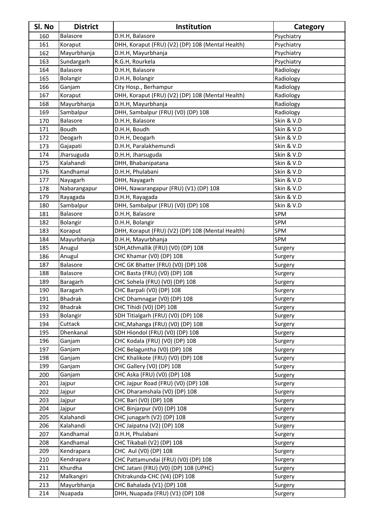| 160<br>D.H.H, Balasore<br>Balasore<br>Psychiatry<br>DHH, Koraput (FRU) (V2) (DP) 108 (Mental Health)<br>Psychiatry<br>161<br>Koraput<br>162<br>Mayurbhanja<br>D.H.H, Mayurbhanja<br>Psychiatry<br>R.G.H, Rourkela<br>Sundargarh<br>163<br>Psychiatry<br>164<br>Balasore<br>D.H.H, Balasore<br>Radiology<br>Bolangir<br>D.H.H, Bolangir<br>Radiology<br>165<br>City Hosp., Berhampur<br>166<br>Radiology<br>Ganjam<br>167<br>DHH, Koraput (FRU) (V2) (DP) 108 (Mental Health)<br>Radiology<br>Koraput<br>168<br>Mayurbhanja<br>D.H.H, Mayurbhanja<br>Radiology<br>DHH, Sambalpur (FRU) (V0) (DP) 108<br>Sambalpur<br>Radiology<br>169<br>Skin & V.D<br>170<br>Balasore<br>D.H.H, Balasore<br><b>Boudh</b><br>D.H.H, Boudh<br>Skin & V.D<br>171<br>Skin & V.D<br>172<br>Deogarh<br>D.H.H, Deogarh<br>D.H.H, Paralakhemundi<br>Skin & V.D<br>173<br>Gajapati<br>Skin & V.D<br>174<br>Jharsuguda<br>D.H.H, Jharsuguda<br>Kalahandi<br>Skin & V.D<br>DHH, Bhabanipatana<br>175<br>D.H.H, Phulabani<br>Skin & V.D<br>176<br>Kandhamal<br>Skin & V.D<br>DHH, Nayagarh<br>177<br>Nayagarh<br>Skin & V.D<br>178<br>Nabarangapur<br>DHH, Nawarangapur (FRU) (V1) (DP) 108<br>D.H.H, Rayagada<br>Skin & V.D<br>Rayagada<br>179<br>Skin & V.D<br>180<br>Sambalpur<br>DHH, Sambalpur (FRU) (V0) (DP) 108<br>SPM<br>Balasore<br>D.H.H, Balasore<br>181<br>182<br>SPM<br>Bolangir<br>D.H.H, Bolangir<br>DHH, Koraput (FRU) (V2) (DP) 108 (Mental Health)<br>SPM<br>183<br>Koraput<br>D.H.H, Mayurbhanja<br>SPM<br>184<br>Mayurbhanja<br>SDH, Athmallik (FRU) (V0) (DP) 108<br>185<br>Anugul<br>Surgery<br>186<br>Anugul<br>CHC Khamar (V0) (DP) 108<br>Surgery<br>CHC GK Bhatter (FRU) (V0) (DP) 108<br>187<br>Balasore<br>Surgery<br>188<br>CHC Basta (FRU) (V0) (DP) 108<br>Balasore<br>Surgery<br>CHC Sohela (FRU) (V0) (DP) 108<br>189<br>Surgery<br>Baragarh<br>CHC Barpali (V0) (DP) 108<br>190<br>Baragarh<br>Surgery<br>Surgery<br><b>Bhadrak</b><br>191<br>CHC Dhamnagar (V0) (DP) 108<br><b>Bhadrak</b><br>CHC Tihidi (V0) (DP) 108<br>192<br>Surgery<br>Bolangir<br>SDH Titialgarh (FRU) (V0) (DP) 108<br>Surgery<br>193<br>194<br>Cuttack<br>CHC, Mahanga (FRU) (V0) (DP) 108<br>Surgery<br>Dhenkanal<br>SDH Hiondol (FRU) (V0) (DP) 108<br>195<br>Surgery<br>196<br>CHC Kodala (FRU) (V0) (DP) 108<br>Ganjam<br>Surgery<br>CHC Belaguntha (V0) (DP) 108<br>197<br>Surgery<br>Ganjam<br>CHC Khalikote (FRU) (V0) (DP) 108<br>198<br>Ganjam<br>Surgery<br>CHC Gallery (V0) (DP) 108<br>199<br>Ganjam<br>Surgery<br>200<br>CHC Aska (FRU) (V0) (DP) 108<br>Ganjam<br>Surgery<br>CHC Jajpur Road (FRU) (V0) (DP) 108<br>201<br>Surgery<br>Jajpur<br>202<br>CHC Dharamshala (V0) (DP) 108<br>Jajpur<br>Surgery<br>203<br>CHC Bari (V0) (DP) 108<br>Jajpur<br>Surgery<br>CHC Binjarpur (V0) (DP) 108<br>204<br>Jajpur<br>Surgery<br>Kalahandi<br>CHC junagarh (V2) (DP) 108<br>205<br>Surgery<br>Kalahandi<br>206<br>CHC Jaipatna (V2) (DP) 108<br>Surgery<br>Kandhamal<br>D.H.H, Phulabani<br>207<br>Surgery<br>Kandhamal<br>208<br>CHC Tikabali (V2) (DP) 108<br>Surgery<br>CHC Aul (V0) (DP) 108<br>209<br>Kendrapara<br>Surgery<br>CHC Pattamundai (FRU) (V0) (DP) 108<br>210<br>Kendrapara<br>Surgery<br>Khurdha<br>CHC Jatani (FRU) (V0) (DP) 108 (UPHC)<br>211<br>Surgery<br>Malkangiri<br>Chitrakunda-CHC (V4) (DP) 108<br>212<br>Surgery<br>Mayurbhanja<br>CHC Bahalada (V1) (DP) 108<br>213<br>Surgery | SI. No | <b>District</b> | Institution                      | Category |
|----------------------------------------------------------------------------------------------------------------------------------------------------------------------------------------------------------------------------------------------------------------------------------------------------------------------------------------------------------------------------------------------------------------------------------------------------------------------------------------------------------------------------------------------------------------------------------------------------------------------------------------------------------------------------------------------------------------------------------------------------------------------------------------------------------------------------------------------------------------------------------------------------------------------------------------------------------------------------------------------------------------------------------------------------------------------------------------------------------------------------------------------------------------------------------------------------------------------------------------------------------------------------------------------------------------------------------------------------------------------------------------------------------------------------------------------------------------------------------------------------------------------------------------------------------------------------------------------------------------------------------------------------------------------------------------------------------------------------------------------------------------------------------------------------------------------------------------------------------------------------------------------------------------------------------------------------------------------------------------------------------------------------------------------------------------------------------------------------------------------------------------------------------------------------------------------------------------------------------------------------------------------------------------------------------------------------------------------------------------------------------------------------------------------------------------------------------------------------------------------------------------------------------------------------------------------------------------------------------------------------------------------------------------------------------------------------------------------------------------------------------------------------------------------------------------------------------------------------------------------------------------------------------------------------------------------------------------------------------------------------------------------------------------------------------------------------------------------------------------------------------------------------------------------------------------------------------------------------------------------------------------------------------------------------------------------------------------------------------------------------------------------------------|--------|-----------------|----------------------------------|----------|
|                                                                                                                                                                                                                                                                                                                                                                                                                                                                                                                                                                                                                                                                                                                                                                                                                                                                                                                                                                                                                                                                                                                                                                                                                                                                                                                                                                                                                                                                                                                                                                                                                                                                                                                                                                                                                                                                                                                                                                                                                                                                                                                                                                                                                                                                                                                                                                                                                                                                                                                                                                                                                                                                                                                                                                                                                                                                                                                                                                                                                                                                                                                                                                                                                                                                                                                                                                                                          |        |                 |                                  |          |
|                                                                                                                                                                                                                                                                                                                                                                                                                                                                                                                                                                                                                                                                                                                                                                                                                                                                                                                                                                                                                                                                                                                                                                                                                                                                                                                                                                                                                                                                                                                                                                                                                                                                                                                                                                                                                                                                                                                                                                                                                                                                                                                                                                                                                                                                                                                                                                                                                                                                                                                                                                                                                                                                                                                                                                                                                                                                                                                                                                                                                                                                                                                                                                                                                                                                                                                                                                                                          |        |                 |                                  |          |
|                                                                                                                                                                                                                                                                                                                                                                                                                                                                                                                                                                                                                                                                                                                                                                                                                                                                                                                                                                                                                                                                                                                                                                                                                                                                                                                                                                                                                                                                                                                                                                                                                                                                                                                                                                                                                                                                                                                                                                                                                                                                                                                                                                                                                                                                                                                                                                                                                                                                                                                                                                                                                                                                                                                                                                                                                                                                                                                                                                                                                                                                                                                                                                                                                                                                                                                                                                                                          |        |                 |                                  |          |
|                                                                                                                                                                                                                                                                                                                                                                                                                                                                                                                                                                                                                                                                                                                                                                                                                                                                                                                                                                                                                                                                                                                                                                                                                                                                                                                                                                                                                                                                                                                                                                                                                                                                                                                                                                                                                                                                                                                                                                                                                                                                                                                                                                                                                                                                                                                                                                                                                                                                                                                                                                                                                                                                                                                                                                                                                                                                                                                                                                                                                                                                                                                                                                                                                                                                                                                                                                                                          |        |                 |                                  |          |
|                                                                                                                                                                                                                                                                                                                                                                                                                                                                                                                                                                                                                                                                                                                                                                                                                                                                                                                                                                                                                                                                                                                                                                                                                                                                                                                                                                                                                                                                                                                                                                                                                                                                                                                                                                                                                                                                                                                                                                                                                                                                                                                                                                                                                                                                                                                                                                                                                                                                                                                                                                                                                                                                                                                                                                                                                                                                                                                                                                                                                                                                                                                                                                                                                                                                                                                                                                                                          |        |                 |                                  |          |
|                                                                                                                                                                                                                                                                                                                                                                                                                                                                                                                                                                                                                                                                                                                                                                                                                                                                                                                                                                                                                                                                                                                                                                                                                                                                                                                                                                                                                                                                                                                                                                                                                                                                                                                                                                                                                                                                                                                                                                                                                                                                                                                                                                                                                                                                                                                                                                                                                                                                                                                                                                                                                                                                                                                                                                                                                                                                                                                                                                                                                                                                                                                                                                                                                                                                                                                                                                                                          |        |                 |                                  |          |
|                                                                                                                                                                                                                                                                                                                                                                                                                                                                                                                                                                                                                                                                                                                                                                                                                                                                                                                                                                                                                                                                                                                                                                                                                                                                                                                                                                                                                                                                                                                                                                                                                                                                                                                                                                                                                                                                                                                                                                                                                                                                                                                                                                                                                                                                                                                                                                                                                                                                                                                                                                                                                                                                                                                                                                                                                                                                                                                                                                                                                                                                                                                                                                                                                                                                                                                                                                                                          |        |                 |                                  |          |
|                                                                                                                                                                                                                                                                                                                                                                                                                                                                                                                                                                                                                                                                                                                                                                                                                                                                                                                                                                                                                                                                                                                                                                                                                                                                                                                                                                                                                                                                                                                                                                                                                                                                                                                                                                                                                                                                                                                                                                                                                                                                                                                                                                                                                                                                                                                                                                                                                                                                                                                                                                                                                                                                                                                                                                                                                                                                                                                                                                                                                                                                                                                                                                                                                                                                                                                                                                                                          |        |                 |                                  |          |
|                                                                                                                                                                                                                                                                                                                                                                                                                                                                                                                                                                                                                                                                                                                                                                                                                                                                                                                                                                                                                                                                                                                                                                                                                                                                                                                                                                                                                                                                                                                                                                                                                                                                                                                                                                                                                                                                                                                                                                                                                                                                                                                                                                                                                                                                                                                                                                                                                                                                                                                                                                                                                                                                                                                                                                                                                                                                                                                                                                                                                                                                                                                                                                                                                                                                                                                                                                                                          |        |                 |                                  |          |
|                                                                                                                                                                                                                                                                                                                                                                                                                                                                                                                                                                                                                                                                                                                                                                                                                                                                                                                                                                                                                                                                                                                                                                                                                                                                                                                                                                                                                                                                                                                                                                                                                                                                                                                                                                                                                                                                                                                                                                                                                                                                                                                                                                                                                                                                                                                                                                                                                                                                                                                                                                                                                                                                                                                                                                                                                                                                                                                                                                                                                                                                                                                                                                                                                                                                                                                                                                                                          |        |                 |                                  |          |
|                                                                                                                                                                                                                                                                                                                                                                                                                                                                                                                                                                                                                                                                                                                                                                                                                                                                                                                                                                                                                                                                                                                                                                                                                                                                                                                                                                                                                                                                                                                                                                                                                                                                                                                                                                                                                                                                                                                                                                                                                                                                                                                                                                                                                                                                                                                                                                                                                                                                                                                                                                                                                                                                                                                                                                                                                                                                                                                                                                                                                                                                                                                                                                                                                                                                                                                                                                                                          |        |                 |                                  |          |
|                                                                                                                                                                                                                                                                                                                                                                                                                                                                                                                                                                                                                                                                                                                                                                                                                                                                                                                                                                                                                                                                                                                                                                                                                                                                                                                                                                                                                                                                                                                                                                                                                                                                                                                                                                                                                                                                                                                                                                                                                                                                                                                                                                                                                                                                                                                                                                                                                                                                                                                                                                                                                                                                                                                                                                                                                                                                                                                                                                                                                                                                                                                                                                                                                                                                                                                                                                                                          |        |                 |                                  |          |
|                                                                                                                                                                                                                                                                                                                                                                                                                                                                                                                                                                                                                                                                                                                                                                                                                                                                                                                                                                                                                                                                                                                                                                                                                                                                                                                                                                                                                                                                                                                                                                                                                                                                                                                                                                                                                                                                                                                                                                                                                                                                                                                                                                                                                                                                                                                                                                                                                                                                                                                                                                                                                                                                                                                                                                                                                                                                                                                                                                                                                                                                                                                                                                                                                                                                                                                                                                                                          |        |                 |                                  |          |
|                                                                                                                                                                                                                                                                                                                                                                                                                                                                                                                                                                                                                                                                                                                                                                                                                                                                                                                                                                                                                                                                                                                                                                                                                                                                                                                                                                                                                                                                                                                                                                                                                                                                                                                                                                                                                                                                                                                                                                                                                                                                                                                                                                                                                                                                                                                                                                                                                                                                                                                                                                                                                                                                                                                                                                                                                                                                                                                                                                                                                                                                                                                                                                                                                                                                                                                                                                                                          |        |                 |                                  |          |
|                                                                                                                                                                                                                                                                                                                                                                                                                                                                                                                                                                                                                                                                                                                                                                                                                                                                                                                                                                                                                                                                                                                                                                                                                                                                                                                                                                                                                                                                                                                                                                                                                                                                                                                                                                                                                                                                                                                                                                                                                                                                                                                                                                                                                                                                                                                                                                                                                                                                                                                                                                                                                                                                                                                                                                                                                                                                                                                                                                                                                                                                                                                                                                                                                                                                                                                                                                                                          |        |                 |                                  |          |
|                                                                                                                                                                                                                                                                                                                                                                                                                                                                                                                                                                                                                                                                                                                                                                                                                                                                                                                                                                                                                                                                                                                                                                                                                                                                                                                                                                                                                                                                                                                                                                                                                                                                                                                                                                                                                                                                                                                                                                                                                                                                                                                                                                                                                                                                                                                                                                                                                                                                                                                                                                                                                                                                                                                                                                                                                                                                                                                                                                                                                                                                                                                                                                                                                                                                                                                                                                                                          |        |                 |                                  |          |
|                                                                                                                                                                                                                                                                                                                                                                                                                                                                                                                                                                                                                                                                                                                                                                                                                                                                                                                                                                                                                                                                                                                                                                                                                                                                                                                                                                                                                                                                                                                                                                                                                                                                                                                                                                                                                                                                                                                                                                                                                                                                                                                                                                                                                                                                                                                                                                                                                                                                                                                                                                                                                                                                                                                                                                                                                                                                                                                                                                                                                                                                                                                                                                                                                                                                                                                                                                                                          |        |                 |                                  |          |
|                                                                                                                                                                                                                                                                                                                                                                                                                                                                                                                                                                                                                                                                                                                                                                                                                                                                                                                                                                                                                                                                                                                                                                                                                                                                                                                                                                                                                                                                                                                                                                                                                                                                                                                                                                                                                                                                                                                                                                                                                                                                                                                                                                                                                                                                                                                                                                                                                                                                                                                                                                                                                                                                                                                                                                                                                                                                                                                                                                                                                                                                                                                                                                                                                                                                                                                                                                                                          |        |                 |                                  |          |
|                                                                                                                                                                                                                                                                                                                                                                                                                                                                                                                                                                                                                                                                                                                                                                                                                                                                                                                                                                                                                                                                                                                                                                                                                                                                                                                                                                                                                                                                                                                                                                                                                                                                                                                                                                                                                                                                                                                                                                                                                                                                                                                                                                                                                                                                                                                                                                                                                                                                                                                                                                                                                                                                                                                                                                                                                                                                                                                                                                                                                                                                                                                                                                                                                                                                                                                                                                                                          |        |                 |                                  |          |
|                                                                                                                                                                                                                                                                                                                                                                                                                                                                                                                                                                                                                                                                                                                                                                                                                                                                                                                                                                                                                                                                                                                                                                                                                                                                                                                                                                                                                                                                                                                                                                                                                                                                                                                                                                                                                                                                                                                                                                                                                                                                                                                                                                                                                                                                                                                                                                                                                                                                                                                                                                                                                                                                                                                                                                                                                                                                                                                                                                                                                                                                                                                                                                                                                                                                                                                                                                                                          |        |                 |                                  |          |
|                                                                                                                                                                                                                                                                                                                                                                                                                                                                                                                                                                                                                                                                                                                                                                                                                                                                                                                                                                                                                                                                                                                                                                                                                                                                                                                                                                                                                                                                                                                                                                                                                                                                                                                                                                                                                                                                                                                                                                                                                                                                                                                                                                                                                                                                                                                                                                                                                                                                                                                                                                                                                                                                                                                                                                                                                                                                                                                                                                                                                                                                                                                                                                                                                                                                                                                                                                                                          |        |                 |                                  |          |
|                                                                                                                                                                                                                                                                                                                                                                                                                                                                                                                                                                                                                                                                                                                                                                                                                                                                                                                                                                                                                                                                                                                                                                                                                                                                                                                                                                                                                                                                                                                                                                                                                                                                                                                                                                                                                                                                                                                                                                                                                                                                                                                                                                                                                                                                                                                                                                                                                                                                                                                                                                                                                                                                                                                                                                                                                                                                                                                                                                                                                                                                                                                                                                                                                                                                                                                                                                                                          |        |                 |                                  |          |
|                                                                                                                                                                                                                                                                                                                                                                                                                                                                                                                                                                                                                                                                                                                                                                                                                                                                                                                                                                                                                                                                                                                                                                                                                                                                                                                                                                                                                                                                                                                                                                                                                                                                                                                                                                                                                                                                                                                                                                                                                                                                                                                                                                                                                                                                                                                                                                                                                                                                                                                                                                                                                                                                                                                                                                                                                                                                                                                                                                                                                                                                                                                                                                                                                                                                                                                                                                                                          |        |                 |                                  |          |
|                                                                                                                                                                                                                                                                                                                                                                                                                                                                                                                                                                                                                                                                                                                                                                                                                                                                                                                                                                                                                                                                                                                                                                                                                                                                                                                                                                                                                                                                                                                                                                                                                                                                                                                                                                                                                                                                                                                                                                                                                                                                                                                                                                                                                                                                                                                                                                                                                                                                                                                                                                                                                                                                                                                                                                                                                                                                                                                                                                                                                                                                                                                                                                                                                                                                                                                                                                                                          |        |                 |                                  |          |
|                                                                                                                                                                                                                                                                                                                                                                                                                                                                                                                                                                                                                                                                                                                                                                                                                                                                                                                                                                                                                                                                                                                                                                                                                                                                                                                                                                                                                                                                                                                                                                                                                                                                                                                                                                                                                                                                                                                                                                                                                                                                                                                                                                                                                                                                                                                                                                                                                                                                                                                                                                                                                                                                                                                                                                                                                                                                                                                                                                                                                                                                                                                                                                                                                                                                                                                                                                                                          |        |                 |                                  |          |
|                                                                                                                                                                                                                                                                                                                                                                                                                                                                                                                                                                                                                                                                                                                                                                                                                                                                                                                                                                                                                                                                                                                                                                                                                                                                                                                                                                                                                                                                                                                                                                                                                                                                                                                                                                                                                                                                                                                                                                                                                                                                                                                                                                                                                                                                                                                                                                                                                                                                                                                                                                                                                                                                                                                                                                                                                                                                                                                                                                                                                                                                                                                                                                                                                                                                                                                                                                                                          |        |                 |                                  |          |
|                                                                                                                                                                                                                                                                                                                                                                                                                                                                                                                                                                                                                                                                                                                                                                                                                                                                                                                                                                                                                                                                                                                                                                                                                                                                                                                                                                                                                                                                                                                                                                                                                                                                                                                                                                                                                                                                                                                                                                                                                                                                                                                                                                                                                                                                                                                                                                                                                                                                                                                                                                                                                                                                                                                                                                                                                                                                                                                                                                                                                                                                                                                                                                                                                                                                                                                                                                                                          |        |                 |                                  |          |
|                                                                                                                                                                                                                                                                                                                                                                                                                                                                                                                                                                                                                                                                                                                                                                                                                                                                                                                                                                                                                                                                                                                                                                                                                                                                                                                                                                                                                                                                                                                                                                                                                                                                                                                                                                                                                                                                                                                                                                                                                                                                                                                                                                                                                                                                                                                                                                                                                                                                                                                                                                                                                                                                                                                                                                                                                                                                                                                                                                                                                                                                                                                                                                                                                                                                                                                                                                                                          |        |                 |                                  |          |
|                                                                                                                                                                                                                                                                                                                                                                                                                                                                                                                                                                                                                                                                                                                                                                                                                                                                                                                                                                                                                                                                                                                                                                                                                                                                                                                                                                                                                                                                                                                                                                                                                                                                                                                                                                                                                                                                                                                                                                                                                                                                                                                                                                                                                                                                                                                                                                                                                                                                                                                                                                                                                                                                                                                                                                                                                                                                                                                                                                                                                                                                                                                                                                                                                                                                                                                                                                                                          |        |                 |                                  |          |
|                                                                                                                                                                                                                                                                                                                                                                                                                                                                                                                                                                                                                                                                                                                                                                                                                                                                                                                                                                                                                                                                                                                                                                                                                                                                                                                                                                                                                                                                                                                                                                                                                                                                                                                                                                                                                                                                                                                                                                                                                                                                                                                                                                                                                                                                                                                                                                                                                                                                                                                                                                                                                                                                                                                                                                                                                                                                                                                                                                                                                                                                                                                                                                                                                                                                                                                                                                                                          |        |                 |                                  |          |
|                                                                                                                                                                                                                                                                                                                                                                                                                                                                                                                                                                                                                                                                                                                                                                                                                                                                                                                                                                                                                                                                                                                                                                                                                                                                                                                                                                                                                                                                                                                                                                                                                                                                                                                                                                                                                                                                                                                                                                                                                                                                                                                                                                                                                                                                                                                                                                                                                                                                                                                                                                                                                                                                                                                                                                                                                                                                                                                                                                                                                                                                                                                                                                                                                                                                                                                                                                                                          |        |                 |                                  |          |
|                                                                                                                                                                                                                                                                                                                                                                                                                                                                                                                                                                                                                                                                                                                                                                                                                                                                                                                                                                                                                                                                                                                                                                                                                                                                                                                                                                                                                                                                                                                                                                                                                                                                                                                                                                                                                                                                                                                                                                                                                                                                                                                                                                                                                                                                                                                                                                                                                                                                                                                                                                                                                                                                                                                                                                                                                                                                                                                                                                                                                                                                                                                                                                                                                                                                                                                                                                                                          |        |                 |                                  |          |
|                                                                                                                                                                                                                                                                                                                                                                                                                                                                                                                                                                                                                                                                                                                                                                                                                                                                                                                                                                                                                                                                                                                                                                                                                                                                                                                                                                                                                                                                                                                                                                                                                                                                                                                                                                                                                                                                                                                                                                                                                                                                                                                                                                                                                                                                                                                                                                                                                                                                                                                                                                                                                                                                                                                                                                                                                                                                                                                                                                                                                                                                                                                                                                                                                                                                                                                                                                                                          |        |                 |                                  |          |
|                                                                                                                                                                                                                                                                                                                                                                                                                                                                                                                                                                                                                                                                                                                                                                                                                                                                                                                                                                                                                                                                                                                                                                                                                                                                                                                                                                                                                                                                                                                                                                                                                                                                                                                                                                                                                                                                                                                                                                                                                                                                                                                                                                                                                                                                                                                                                                                                                                                                                                                                                                                                                                                                                                                                                                                                                                                                                                                                                                                                                                                                                                                                                                                                                                                                                                                                                                                                          |        |                 |                                  |          |
|                                                                                                                                                                                                                                                                                                                                                                                                                                                                                                                                                                                                                                                                                                                                                                                                                                                                                                                                                                                                                                                                                                                                                                                                                                                                                                                                                                                                                                                                                                                                                                                                                                                                                                                                                                                                                                                                                                                                                                                                                                                                                                                                                                                                                                                                                                                                                                                                                                                                                                                                                                                                                                                                                                                                                                                                                                                                                                                                                                                                                                                                                                                                                                                                                                                                                                                                                                                                          |        |                 |                                  |          |
|                                                                                                                                                                                                                                                                                                                                                                                                                                                                                                                                                                                                                                                                                                                                                                                                                                                                                                                                                                                                                                                                                                                                                                                                                                                                                                                                                                                                                                                                                                                                                                                                                                                                                                                                                                                                                                                                                                                                                                                                                                                                                                                                                                                                                                                                                                                                                                                                                                                                                                                                                                                                                                                                                                                                                                                                                                                                                                                                                                                                                                                                                                                                                                                                                                                                                                                                                                                                          |        |                 |                                  |          |
|                                                                                                                                                                                                                                                                                                                                                                                                                                                                                                                                                                                                                                                                                                                                                                                                                                                                                                                                                                                                                                                                                                                                                                                                                                                                                                                                                                                                                                                                                                                                                                                                                                                                                                                                                                                                                                                                                                                                                                                                                                                                                                                                                                                                                                                                                                                                                                                                                                                                                                                                                                                                                                                                                                                                                                                                                                                                                                                                                                                                                                                                                                                                                                                                                                                                                                                                                                                                          |        |                 |                                  |          |
|                                                                                                                                                                                                                                                                                                                                                                                                                                                                                                                                                                                                                                                                                                                                                                                                                                                                                                                                                                                                                                                                                                                                                                                                                                                                                                                                                                                                                                                                                                                                                                                                                                                                                                                                                                                                                                                                                                                                                                                                                                                                                                                                                                                                                                                                                                                                                                                                                                                                                                                                                                                                                                                                                                                                                                                                                                                                                                                                                                                                                                                                                                                                                                                                                                                                                                                                                                                                          |        |                 |                                  |          |
|                                                                                                                                                                                                                                                                                                                                                                                                                                                                                                                                                                                                                                                                                                                                                                                                                                                                                                                                                                                                                                                                                                                                                                                                                                                                                                                                                                                                                                                                                                                                                                                                                                                                                                                                                                                                                                                                                                                                                                                                                                                                                                                                                                                                                                                                                                                                                                                                                                                                                                                                                                                                                                                                                                                                                                                                                                                                                                                                                                                                                                                                                                                                                                                                                                                                                                                                                                                                          |        |                 |                                  |          |
|                                                                                                                                                                                                                                                                                                                                                                                                                                                                                                                                                                                                                                                                                                                                                                                                                                                                                                                                                                                                                                                                                                                                                                                                                                                                                                                                                                                                                                                                                                                                                                                                                                                                                                                                                                                                                                                                                                                                                                                                                                                                                                                                                                                                                                                                                                                                                                                                                                                                                                                                                                                                                                                                                                                                                                                                                                                                                                                                                                                                                                                                                                                                                                                                                                                                                                                                                                                                          |        |                 |                                  |          |
|                                                                                                                                                                                                                                                                                                                                                                                                                                                                                                                                                                                                                                                                                                                                                                                                                                                                                                                                                                                                                                                                                                                                                                                                                                                                                                                                                                                                                                                                                                                                                                                                                                                                                                                                                                                                                                                                                                                                                                                                                                                                                                                                                                                                                                                                                                                                                                                                                                                                                                                                                                                                                                                                                                                                                                                                                                                                                                                                                                                                                                                                                                                                                                                                                                                                                                                                                                                                          |        |                 |                                  |          |
|                                                                                                                                                                                                                                                                                                                                                                                                                                                                                                                                                                                                                                                                                                                                                                                                                                                                                                                                                                                                                                                                                                                                                                                                                                                                                                                                                                                                                                                                                                                                                                                                                                                                                                                                                                                                                                                                                                                                                                                                                                                                                                                                                                                                                                                                                                                                                                                                                                                                                                                                                                                                                                                                                                                                                                                                                                                                                                                                                                                                                                                                                                                                                                                                                                                                                                                                                                                                          |        |                 |                                  |          |
|                                                                                                                                                                                                                                                                                                                                                                                                                                                                                                                                                                                                                                                                                                                                                                                                                                                                                                                                                                                                                                                                                                                                                                                                                                                                                                                                                                                                                                                                                                                                                                                                                                                                                                                                                                                                                                                                                                                                                                                                                                                                                                                                                                                                                                                                                                                                                                                                                                                                                                                                                                                                                                                                                                                                                                                                                                                                                                                                                                                                                                                                                                                                                                                                                                                                                                                                                                                                          |        |                 |                                  |          |
|                                                                                                                                                                                                                                                                                                                                                                                                                                                                                                                                                                                                                                                                                                                                                                                                                                                                                                                                                                                                                                                                                                                                                                                                                                                                                                                                                                                                                                                                                                                                                                                                                                                                                                                                                                                                                                                                                                                                                                                                                                                                                                                                                                                                                                                                                                                                                                                                                                                                                                                                                                                                                                                                                                                                                                                                                                                                                                                                                                                                                                                                                                                                                                                                                                                                                                                                                                                                          |        |                 |                                  |          |
|                                                                                                                                                                                                                                                                                                                                                                                                                                                                                                                                                                                                                                                                                                                                                                                                                                                                                                                                                                                                                                                                                                                                                                                                                                                                                                                                                                                                                                                                                                                                                                                                                                                                                                                                                                                                                                                                                                                                                                                                                                                                                                                                                                                                                                                                                                                                                                                                                                                                                                                                                                                                                                                                                                                                                                                                                                                                                                                                                                                                                                                                                                                                                                                                                                                                                                                                                                                                          |        |                 |                                  |          |
|                                                                                                                                                                                                                                                                                                                                                                                                                                                                                                                                                                                                                                                                                                                                                                                                                                                                                                                                                                                                                                                                                                                                                                                                                                                                                                                                                                                                                                                                                                                                                                                                                                                                                                                                                                                                                                                                                                                                                                                                                                                                                                                                                                                                                                                                                                                                                                                                                                                                                                                                                                                                                                                                                                                                                                                                                                                                                                                                                                                                                                                                                                                                                                                                                                                                                                                                                                                                          |        |                 |                                  |          |
|                                                                                                                                                                                                                                                                                                                                                                                                                                                                                                                                                                                                                                                                                                                                                                                                                                                                                                                                                                                                                                                                                                                                                                                                                                                                                                                                                                                                                                                                                                                                                                                                                                                                                                                                                                                                                                                                                                                                                                                                                                                                                                                                                                                                                                                                                                                                                                                                                                                                                                                                                                                                                                                                                                                                                                                                                                                                                                                                                                                                                                                                                                                                                                                                                                                                                                                                                                                                          |        |                 |                                  |          |
|                                                                                                                                                                                                                                                                                                                                                                                                                                                                                                                                                                                                                                                                                                                                                                                                                                                                                                                                                                                                                                                                                                                                                                                                                                                                                                                                                                                                                                                                                                                                                                                                                                                                                                                                                                                                                                                                                                                                                                                                                                                                                                                                                                                                                                                                                                                                                                                                                                                                                                                                                                                                                                                                                                                                                                                                                                                                                                                                                                                                                                                                                                                                                                                                                                                                                                                                                                                                          |        |                 |                                  |          |
|                                                                                                                                                                                                                                                                                                                                                                                                                                                                                                                                                                                                                                                                                                                                                                                                                                                                                                                                                                                                                                                                                                                                                                                                                                                                                                                                                                                                                                                                                                                                                                                                                                                                                                                                                                                                                                                                                                                                                                                                                                                                                                                                                                                                                                                                                                                                                                                                                                                                                                                                                                                                                                                                                                                                                                                                                                                                                                                                                                                                                                                                                                                                                                                                                                                                                                                                                                                                          |        |                 |                                  |          |
|                                                                                                                                                                                                                                                                                                                                                                                                                                                                                                                                                                                                                                                                                                                                                                                                                                                                                                                                                                                                                                                                                                                                                                                                                                                                                                                                                                                                                                                                                                                                                                                                                                                                                                                                                                                                                                                                                                                                                                                                                                                                                                                                                                                                                                                                                                                                                                                                                                                                                                                                                                                                                                                                                                                                                                                                                                                                                                                                                                                                                                                                                                                                                                                                                                                                                                                                                                                                          |        |                 |                                  |          |
|                                                                                                                                                                                                                                                                                                                                                                                                                                                                                                                                                                                                                                                                                                                                                                                                                                                                                                                                                                                                                                                                                                                                                                                                                                                                                                                                                                                                                                                                                                                                                                                                                                                                                                                                                                                                                                                                                                                                                                                                                                                                                                                                                                                                                                                                                                                                                                                                                                                                                                                                                                                                                                                                                                                                                                                                                                                                                                                                                                                                                                                                                                                                                                                                                                                                                                                                                                                                          |        |                 |                                  |          |
|                                                                                                                                                                                                                                                                                                                                                                                                                                                                                                                                                                                                                                                                                                                                                                                                                                                                                                                                                                                                                                                                                                                                                                                                                                                                                                                                                                                                                                                                                                                                                                                                                                                                                                                                                                                                                                                                                                                                                                                                                                                                                                                                                                                                                                                                                                                                                                                                                                                                                                                                                                                                                                                                                                                                                                                                                                                                                                                                                                                                                                                                                                                                                                                                                                                                                                                                                                                                          |        |                 |                                  |          |
|                                                                                                                                                                                                                                                                                                                                                                                                                                                                                                                                                                                                                                                                                                                                                                                                                                                                                                                                                                                                                                                                                                                                                                                                                                                                                                                                                                                                                                                                                                                                                                                                                                                                                                                                                                                                                                                                                                                                                                                                                                                                                                                                                                                                                                                                                                                                                                                                                                                                                                                                                                                                                                                                                                                                                                                                                                                                                                                                                                                                                                                                                                                                                                                                                                                                                                                                                                                                          |        |                 |                                  |          |
|                                                                                                                                                                                                                                                                                                                                                                                                                                                                                                                                                                                                                                                                                                                                                                                                                                                                                                                                                                                                                                                                                                                                                                                                                                                                                                                                                                                                                                                                                                                                                                                                                                                                                                                                                                                                                                                                                                                                                                                                                                                                                                                                                                                                                                                                                                                                                                                                                                                                                                                                                                                                                                                                                                                                                                                                                                                                                                                                                                                                                                                                                                                                                                                                                                                                                                                                                                                                          |        |                 |                                  |          |
|                                                                                                                                                                                                                                                                                                                                                                                                                                                                                                                                                                                                                                                                                                                                                                                                                                                                                                                                                                                                                                                                                                                                                                                                                                                                                                                                                                                                                                                                                                                                                                                                                                                                                                                                                                                                                                                                                                                                                                                                                                                                                                                                                                                                                                                                                                                                                                                                                                                                                                                                                                                                                                                                                                                                                                                                                                                                                                                                                                                                                                                                                                                                                                                                                                                                                                                                                                                                          | 214    | Nuapada         | DHH, Nuapada (FRU) (V1) (DP) 108 | Surgery  |